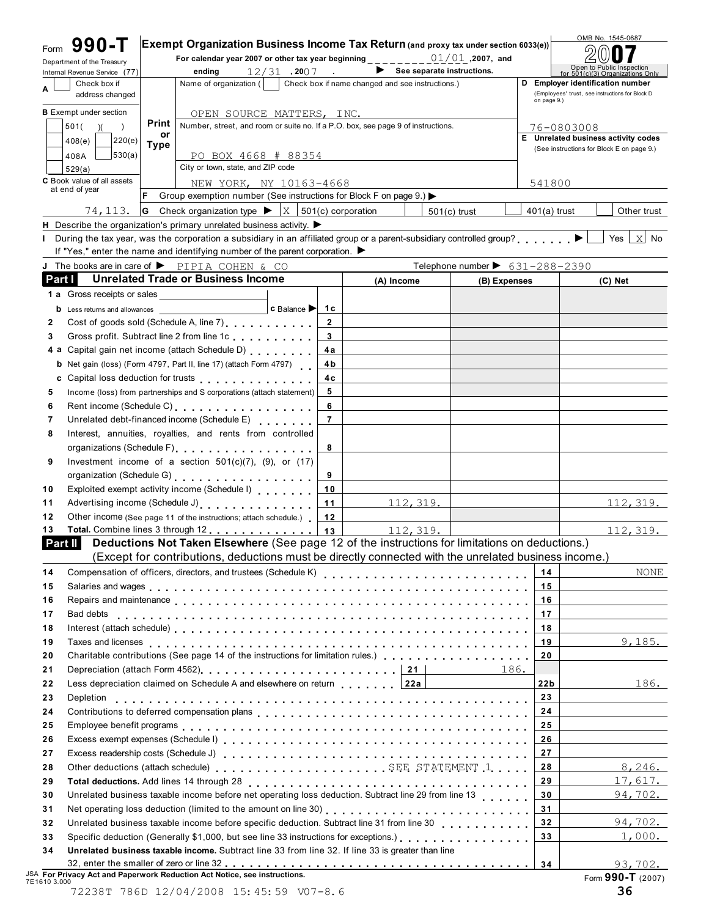| Exempt Organization Business Income Tax Return (and proxy tax under section 6033(e))<br>For calendar year 2007 or other tax year beginning $\frac{1}{2}$ = $\frac{0.1}{0.1}$ , 2007, and<br>ending<br>Name of organization (<br>OPEN SOURCE MATTERS, INC.<br>Print<br>Number, street, and room or suite no. If a P.O. box, see page 9 of instructions.<br>or<br><b>Type</b><br>PO BOX 4668 # 88354<br>City or town, state, and ZIP code<br>NEW YORK, NY 10163-4668<br>Group exemption number (See instructions for Block F on page 9.) ▶<br><b>G</b> Check organization type $\blacktriangleright$ $\mid$ X $\mid$ 501(c) corporation<br>H Describe the organization's primary unrelated business activity. $\blacktriangleright$<br>I During the tax year, was the corporation a subsidiary in an affiliated group or a parent-subsidiary controlled group? ▶<br>If "Yes," enter the name and identifying number of the parent corporation. $\blacktriangleright$ | $12/31$ , 2007 |                                                                                                                                                                                                                                                                                                                                                                                                                                                                                                                                                                                                                                                                                                                                                                                                                                                                                                                                                                                                                                                                                                                                                                                                                           | $\blacktriangleright$ See separate instructions.<br>Check box if name changed and see instructions.) |                |                                                | on page 9.)     | Open to Public Inspection<br>for 501(c)(3) Organizations Only<br>D Employer identification number<br>(Employees' trust, see instructions for Block D<br>76-0803008                                                                                                                                                                                                                                                                                                                                                                                                                                                                                                                                                                                              |
|--------------------------------------------------------------------------------------------------------------------------------------------------------------------------------------------------------------------------------------------------------------------------------------------------------------------------------------------------------------------------------------------------------------------------------------------------------------------------------------------------------------------------------------------------------------------------------------------------------------------------------------------------------------------------------------------------------------------------------------------------------------------------------------------------------------------------------------------------------------------------------------------------------------------------------------------------------------------|----------------|---------------------------------------------------------------------------------------------------------------------------------------------------------------------------------------------------------------------------------------------------------------------------------------------------------------------------------------------------------------------------------------------------------------------------------------------------------------------------------------------------------------------------------------------------------------------------------------------------------------------------------------------------------------------------------------------------------------------------------------------------------------------------------------------------------------------------------------------------------------------------------------------------------------------------------------------------------------------------------------------------------------------------------------------------------------------------------------------------------------------------------------------------------------------------------------------------------------------------|------------------------------------------------------------------------------------------------------|----------------|------------------------------------------------|-----------------|-----------------------------------------------------------------------------------------------------------------------------------------------------------------------------------------------------------------------------------------------------------------------------------------------------------------------------------------------------------------------------------------------------------------------------------------------------------------------------------------------------------------------------------------------------------------------------------------------------------------------------------------------------------------------------------------------------------------------------------------------------------------|
|                                                                                                                                                                                                                                                                                                                                                                                                                                                                                                                                                                                                                                                                                                                                                                                                                                                                                                                                                                    |                |                                                                                                                                                                                                                                                                                                                                                                                                                                                                                                                                                                                                                                                                                                                                                                                                                                                                                                                                                                                                                                                                                                                                                                                                                           |                                                                                                      |                |                                                |                 |                                                                                                                                                                                                                                                                                                                                                                                                                                                                                                                                                                                                                                                                                                                                                                 |
|                                                                                                                                                                                                                                                                                                                                                                                                                                                                                                                                                                                                                                                                                                                                                                                                                                                                                                                                                                    |                |                                                                                                                                                                                                                                                                                                                                                                                                                                                                                                                                                                                                                                                                                                                                                                                                                                                                                                                                                                                                                                                                                                                                                                                                                           |                                                                                                      |                |                                                |                 |                                                                                                                                                                                                                                                                                                                                                                                                                                                                                                                                                                                                                                                                                                                                                                 |
|                                                                                                                                                                                                                                                                                                                                                                                                                                                                                                                                                                                                                                                                                                                                                                                                                                                                                                                                                                    |                |                                                                                                                                                                                                                                                                                                                                                                                                                                                                                                                                                                                                                                                                                                                                                                                                                                                                                                                                                                                                                                                                                                                                                                                                                           |                                                                                                      |                |                                                |                 |                                                                                                                                                                                                                                                                                                                                                                                                                                                                                                                                                                                                                                                                                                                                                                 |
|                                                                                                                                                                                                                                                                                                                                                                                                                                                                                                                                                                                                                                                                                                                                                                                                                                                                                                                                                                    |                |                                                                                                                                                                                                                                                                                                                                                                                                                                                                                                                                                                                                                                                                                                                                                                                                                                                                                                                                                                                                                                                                                                                                                                                                                           |                                                                                                      |                |                                                |                 |                                                                                                                                                                                                                                                                                                                                                                                                                                                                                                                                                                                                                                                                                                                                                                 |
|                                                                                                                                                                                                                                                                                                                                                                                                                                                                                                                                                                                                                                                                                                                                                                                                                                                                                                                                                                    |                |                                                                                                                                                                                                                                                                                                                                                                                                                                                                                                                                                                                                                                                                                                                                                                                                                                                                                                                                                                                                                                                                                                                                                                                                                           |                                                                                                      |                |                                                |                 |                                                                                                                                                                                                                                                                                                                                                                                                                                                                                                                                                                                                                                                                                                                                                                 |
|                                                                                                                                                                                                                                                                                                                                                                                                                                                                                                                                                                                                                                                                                                                                                                                                                                                                                                                                                                    |                |                                                                                                                                                                                                                                                                                                                                                                                                                                                                                                                                                                                                                                                                                                                                                                                                                                                                                                                                                                                                                                                                                                                                                                                                                           |                                                                                                      |                |                                                |                 |                                                                                                                                                                                                                                                                                                                                                                                                                                                                                                                                                                                                                                                                                                                                                                 |
|                                                                                                                                                                                                                                                                                                                                                                                                                                                                                                                                                                                                                                                                                                                                                                                                                                                                                                                                                                    |                |                                                                                                                                                                                                                                                                                                                                                                                                                                                                                                                                                                                                                                                                                                                                                                                                                                                                                                                                                                                                                                                                                                                                                                                                                           |                                                                                                      |                |                                                |                 | E Unrelated business activity codes                                                                                                                                                                                                                                                                                                                                                                                                                                                                                                                                                                                                                                                                                                                             |
|                                                                                                                                                                                                                                                                                                                                                                                                                                                                                                                                                                                                                                                                                                                                                                                                                                                                                                                                                                    |                |                                                                                                                                                                                                                                                                                                                                                                                                                                                                                                                                                                                                                                                                                                                                                                                                                                                                                                                                                                                                                                                                                                                                                                                                                           |                                                                                                      |                |                                                |                 | (See instructions for Block E on page 9.)                                                                                                                                                                                                                                                                                                                                                                                                                                                                                                                                                                                                                                                                                                                       |
|                                                                                                                                                                                                                                                                                                                                                                                                                                                                                                                                                                                                                                                                                                                                                                                                                                                                                                                                                                    |                |                                                                                                                                                                                                                                                                                                                                                                                                                                                                                                                                                                                                                                                                                                                                                                                                                                                                                                                                                                                                                                                                                                                                                                                                                           |                                                                                                      |                |                                                |                 |                                                                                                                                                                                                                                                                                                                                                                                                                                                                                                                                                                                                                                                                                                                                                                 |
|                                                                                                                                                                                                                                                                                                                                                                                                                                                                                                                                                                                                                                                                                                                                                                                                                                                                                                                                                                    |                |                                                                                                                                                                                                                                                                                                                                                                                                                                                                                                                                                                                                                                                                                                                                                                                                                                                                                                                                                                                                                                                                                                                                                                                                                           |                                                                                                      |                |                                                | 541800          |                                                                                                                                                                                                                                                                                                                                                                                                                                                                                                                                                                                                                                                                                                                                                                 |
|                                                                                                                                                                                                                                                                                                                                                                                                                                                                                                                                                                                                                                                                                                                                                                                                                                                                                                                                                                    |                |                                                                                                                                                                                                                                                                                                                                                                                                                                                                                                                                                                                                                                                                                                                                                                                                                                                                                                                                                                                                                                                                                                                                                                                                                           |                                                                                                      |                |                                                |                 |                                                                                                                                                                                                                                                                                                                                                                                                                                                                                                                                                                                                                                                                                                                                                                 |
|                                                                                                                                                                                                                                                                                                                                                                                                                                                                                                                                                                                                                                                                                                                                                                                                                                                                                                                                                                    |                |                                                                                                                                                                                                                                                                                                                                                                                                                                                                                                                                                                                                                                                                                                                                                                                                                                                                                                                                                                                                                                                                                                                                                                                                                           |                                                                                                      | $501(c)$ trust |                                                | $401(a)$ trust  | Other trust                                                                                                                                                                                                                                                                                                                                                                                                                                                                                                                                                                                                                                                                                                                                                     |
|                                                                                                                                                                                                                                                                                                                                                                                                                                                                                                                                                                                                                                                                                                                                                                                                                                                                                                                                                                    |                |                                                                                                                                                                                                                                                                                                                                                                                                                                                                                                                                                                                                                                                                                                                                                                                                                                                                                                                                                                                                                                                                                                                                                                                                                           |                                                                                                      |                |                                                |                 |                                                                                                                                                                                                                                                                                                                                                                                                                                                                                                                                                                                                                                                                                                                                                                 |
|                                                                                                                                                                                                                                                                                                                                                                                                                                                                                                                                                                                                                                                                                                                                                                                                                                                                                                                                                                    |                |                                                                                                                                                                                                                                                                                                                                                                                                                                                                                                                                                                                                                                                                                                                                                                                                                                                                                                                                                                                                                                                                                                                                                                                                                           |                                                                                                      |                |                                                |                 | Yes $ X $ No                                                                                                                                                                                                                                                                                                                                                                                                                                                                                                                                                                                                                                                                                                                                                    |
|                                                                                                                                                                                                                                                                                                                                                                                                                                                                                                                                                                                                                                                                                                                                                                                                                                                                                                                                                                    |                |                                                                                                                                                                                                                                                                                                                                                                                                                                                                                                                                                                                                                                                                                                                                                                                                                                                                                                                                                                                                                                                                                                                                                                                                                           |                                                                                                      |                |                                                |                 |                                                                                                                                                                                                                                                                                                                                                                                                                                                                                                                                                                                                                                                                                                                                                                 |
| J The books are in care of PIPIA COHEN & CO                                                                                                                                                                                                                                                                                                                                                                                                                                                                                                                                                                                                                                                                                                                                                                                                                                                                                                                        |                |                                                                                                                                                                                                                                                                                                                                                                                                                                                                                                                                                                                                                                                                                                                                                                                                                                                                                                                                                                                                                                                                                                                                                                                                                           |                                                                                                      |                | Telephone number $\triangleright$ 631-288-2390 |                 |                                                                                                                                                                                                                                                                                                                                                                                                                                                                                                                                                                                                                                                                                                                                                                 |
| <b>Unrelated Trade or Business Income</b>                                                                                                                                                                                                                                                                                                                                                                                                                                                                                                                                                                                                                                                                                                                                                                                                                                                                                                                          |                |                                                                                                                                                                                                                                                                                                                                                                                                                                                                                                                                                                                                                                                                                                                                                                                                                                                                                                                                                                                                                                                                                                                                                                                                                           | (A) Income                                                                                           |                | (B) Expenses                                   |                 | (C) Net                                                                                                                                                                                                                                                                                                                                                                                                                                                                                                                                                                                                                                                                                                                                                         |
|                                                                                                                                                                                                                                                                                                                                                                                                                                                                                                                                                                                                                                                                                                                                                                                                                                                                                                                                                                    |                |                                                                                                                                                                                                                                                                                                                                                                                                                                                                                                                                                                                                                                                                                                                                                                                                                                                                                                                                                                                                                                                                                                                                                                                                                           |                                                                                                      |                |                                                |                 |                                                                                                                                                                                                                                                                                                                                                                                                                                                                                                                                                                                                                                                                                                                                                                 |
|                                                                                                                                                                                                                                                                                                                                                                                                                                                                                                                                                                                                                                                                                                                                                                                                                                                                                                                                                                    | c Balance      | 1с                                                                                                                                                                                                                                                                                                                                                                                                                                                                                                                                                                                                                                                                                                                                                                                                                                                                                                                                                                                                                                                                                                                                                                                                                        |                                                                                                      |                |                                                |                 |                                                                                                                                                                                                                                                                                                                                                                                                                                                                                                                                                                                                                                                                                                                                                                 |
|                                                                                                                                                                                                                                                                                                                                                                                                                                                                                                                                                                                                                                                                                                                                                                                                                                                                                                                                                                    |                | $\mathbf{2}$                                                                                                                                                                                                                                                                                                                                                                                                                                                                                                                                                                                                                                                                                                                                                                                                                                                                                                                                                                                                                                                                                                                                                                                                              |                                                                                                      |                |                                                |                 |                                                                                                                                                                                                                                                                                                                                                                                                                                                                                                                                                                                                                                                                                                                                                                 |
|                                                                                                                                                                                                                                                                                                                                                                                                                                                                                                                                                                                                                                                                                                                                                                                                                                                                                                                                                                    |                | 3                                                                                                                                                                                                                                                                                                                                                                                                                                                                                                                                                                                                                                                                                                                                                                                                                                                                                                                                                                                                                                                                                                                                                                                                                         |                                                                                                      |                |                                                |                 |                                                                                                                                                                                                                                                                                                                                                                                                                                                                                                                                                                                                                                                                                                                                                                 |
|                                                                                                                                                                                                                                                                                                                                                                                                                                                                                                                                                                                                                                                                                                                                                                                                                                                                                                                                                                    |                | 4a                                                                                                                                                                                                                                                                                                                                                                                                                                                                                                                                                                                                                                                                                                                                                                                                                                                                                                                                                                                                                                                                                                                                                                                                                        |                                                                                                      |                |                                                |                 |                                                                                                                                                                                                                                                                                                                                                                                                                                                                                                                                                                                                                                                                                                                                                                 |
|                                                                                                                                                                                                                                                                                                                                                                                                                                                                                                                                                                                                                                                                                                                                                                                                                                                                                                                                                                    |                |                                                                                                                                                                                                                                                                                                                                                                                                                                                                                                                                                                                                                                                                                                                                                                                                                                                                                                                                                                                                                                                                                                                                                                                                                           |                                                                                                      |                |                                                |                 |                                                                                                                                                                                                                                                                                                                                                                                                                                                                                                                                                                                                                                                                                                                                                                 |
|                                                                                                                                                                                                                                                                                                                                                                                                                                                                                                                                                                                                                                                                                                                                                                                                                                                                                                                                                                    |                | 4 c                                                                                                                                                                                                                                                                                                                                                                                                                                                                                                                                                                                                                                                                                                                                                                                                                                                                                                                                                                                                                                                                                                                                                                                                                       |                                                                                                      |                |                                                |                 |                                                                                                                                                                                                                                                                                                                                                                                                                                                                                                                                                                                                                                                                                                                                                                 |
|                                                                                                                                                                                                                                                                                                                                                                                                                                                                                                                                                                                                                                                                                                                                                                                                                                                                                                                                                                    |                | 5                                                                                                                                                                                                                                                                                                                                                                                                                                                                                                                                                                                                                                                                                                                                                                                                                                                                                                                                                                                                                                                                                                                                                                                                                         |                                                                                                      |                |                                                |                 |                                                                                                                                                                                                                                                                                                                                                                                                                                                                                                                                                                                                                                                                                                                                                                 |
|                                                                                                                                                                                                                                                                                                                                                                                                                                                                                                                                                                                                                                                                                                                                                                                                                                                                                                                                                                    |                | 6                                                                                                                                                                                                                                                                                                                                                                                                                                                                                                                                                                                                                                                                                                                                                                                                                                                                                                                                                                                                                                                                                                                                                                                                                         |                                                                                                      |                |                                                |                 |                                                                                                                                                                                                                                                                                                                                                                                                                                                                                                                                                                                                                                                                                                                                                                 |
|                                                                                                                                                                                                                                                                                                                                                                                                                                                                                                                                                                                                                                                                                                                                                                                                                                                                                                                                                                    |                | $\overline{7}$                                                                                                                                                                                                                                                                                                                                                                                                                                                                                                                                                                                                                                                                                                                                                                                                                                                                                                                                                                                                                                                                                                                                                                                                            |                                                                                                      |                |                                                |                 |                                                                                                                                                                                                                                                                                                                                                                                                                                                                                                                                                                                                                                                                                                                                                                 |
|                                                                                                                                                                                                                                                                                                                                                                                                                                                                                                                                                                                                                                                                                                                                                                                                                                                                                                                                                                    |                |                                                                                                                                                                                                                                                                                                                                                                                                                                                                                                                                                                                                                                                                                                                                                                                                                                                                                                                                                                                                                                                                                                                                                                                                                           |                                                                                                      |                |                                                |                 |                                                                                                                                                                                                                                                                                                                                                                                                                                                                                                                                                                                                                                                                                                                                                                 |
|                                                                                                                                                                                                                                                                                                                                                                                                                                                                                                                                                                                                                                                                                                                                                                                                                                                                                                                                                                    |                |                                                                                                                                                                                                                                                                                                                                                                                                                                                                                                                                                                                                                                                                                                                                                                                                                                                                                                                                                                                                                                                                                                                                                                                                                           |                                                                                                      |                |                                                |                 |                                                                                                                                                                                                                                                                                                                                                                                                                                                                                                                                                                                                                                                                                                                                                                 |
|                                                                                                                                                                                                                                                                                                                                                                                                                                                                                                                                                                                                                                                                                                                                                                                                                                                                                                                                                                    |                |                                                                                                                                                                                                                                                                                                                                                                                                                                                                                                                                                                                                                                                                                                                                                                                                                                                                                                                                                                                                                                                                                                                                                                                                                           |                                                                                                      |                |                                                |                 |                                                                                                                                                                                                                                                                                                                                                                                                                                                                                                                                                                                                                                                                                                                                                                 |
|                                                                                                                                                                                                                                                                                                                                                                                                                                                                                                                                                                                                                                                                                                                                                                                                                                                                                                                                                                    |                |                                                                                                                                                                                                                                                                                                                                                                                                                                                                                                                                                                                                                                                                                                                                                                                                                                                                                                                                                                                                                                                                                                                                                                                                                           |                                                                                                      |                |                                                |                 |                                                                                                                                                                                                                                                                                                                                                                                                                                                                                                                                                                                                                                                                                                                                                                 |
|                                                                                                                                                                                                                                                                                                                                                                                                                                                                                                                                                                                                                                                                                                                                                                                                                                                                                                                                                                    |                |                                                                                                                                                                                                                                                                                                                                                                                                                                                                                                                                                                                                                                                                                                                                                                                                                                                                                                                                                                                                                                                                                                                                                                                                                           |                                                                                                      |                |                                                |                 |                                                                                                                                                                                                                                                                                                                                                                                                                                                                                                                                                                                                                                                                                                                                                                 |
|                                                                                                                                                                                                                                                                                                                                                                                                                                                                                                                                                                                                                                                                                                                                                                                                                                                                                                                                                                    |                |                                                                                                                                                                                                                                                                                                                                                                                                                                                                                                                                                                                                                                                                                                                                                                                                                                                                                                                                                                                                                                                                                                                                                                                                                           |                                                                                                      |                |                                                |                 | 112, 319.                                                                                                                                                                                                                                                                                                                                                                                                                                                                                                                                                                                                                                                                                                                                                       |
|                                                                                                                                                                                                                                                                                                                                                                                                                                                                                                                                                                                                                                                                                                                                                                                                                                                                                                                                                                    |                |                                                                                                                                                                                                                                                                                                                                                                                                                                                                                                                                                                                                                                                                                                                                                                                                                                                                                                                                                                                                                                                                                                                                                                                                                           |                                                                                                      |                |                                                |                 |                                                                                                                                                                                                                                                                                                                                                                                                                                                                                                                                                                                                                                                                                                                                                                 |
|                                                                                                                                                                                                                                                                                                                                                                                                                                                                                                                                                                                                                                                                                                                                                                                                                                                                                                                                                                    |                |                                                                                                                                                                                                                                                                                                                                                                                                                                                                                                                                                                                                                                                                                                                                                                                                                                                                                                                                                                                                                                                                                                                                                                                                                           |                                                                                                      |                |                                                |                 | 112,319.                                                                                                                                                                                                                                                                                                                                                                                                                                                                                                                                                                                                                                                                                                                                                        |
|                                                                                                                                                                                                                                                                                                                                                                                                                                                                                                                                                                                                                                                                                                                                                                                                                                                                                                                                                                    |                |                                                                                                                                                                                                                                                                                                                                                                                                                                                                                                                                                                                                                                                                                                                                                                                                                                                                                                                                                                                                                                                                                                                                                                                                                           |                                                                                                      |                |                                                |                 |                                                                                                                                                                                                                                                                                                                                                                                                                                                                                                                                                                                                                                                                                                                                                                 |
|                                                                                                                                                                                                                                                                                                                                                                                                                                                                                                                                                                                                                                                                                                                                                                                                                                                                                                                                                                    |                |                                                                                                                                                                                                                                                                                                                                                                                                                                                                                                                                                                                                                                                                                                                                                                                                                                                                                                                                                                                                                                                                                                                                                                                                                           |                                                                                                      |                |                                                |                 |                                                                                                                                                                                                                                                                                                                                                                                                                                                                                                                                                                                                                                                                                                                                                                 |
|                                                                                                                                                                                                                                                                                                                                                                                                                                                                                                                                                                                                                                                                                                                                                                                                                                                                                                                                                                    |                |                                                                                                                                                                                                                                                                                                                                                                                                                                                                                                                                                                                                                                                                                                                                                                                                                                                                                                                                                                                                                                                                                                                                                                                                                           |                                                                                                      |                |                                                | 14              | NONE                                                                                                                                                                                                                                                                                                                                                                                                                                                                                                                                                                                                                                                                                                                                                            |
|                                                                                                                                                                                                                                                                                                                                                                                                                                                                                                                                                                                                                                                                                                                                                                                                                                                                                                                                                                    |                |                                                                                                                                                                                                                                                                                                                                                                                                                                                                                                                                                                                                                                                                                                                                                                                                                                                                                                                                                                                                                                                                                                                                                                                                                           |                                                                                                      |                |                                                |                 |                                                                                                                                                                                                                                                                                                                                                                                                                                                                                                                                                                                                                                                                                                                                                                 |
|                                                                                                                                                                                                                                                                                                                                                                                                                                                                                                                                                                                                                                                                                                                                                                                                                                                                                                                                                                    |                |                                                                                                                                                                                                                                                                                                                                                                                                                                                                                                                                                                                                                                                                                                                                                                                                                                                                                                                                                                                                                                                                                                                                                                                                                           |                                                                                                      |                |                                                | 16              |                                                                                                                                                                                                                                                                                                                                                                                                                                                                                                                                                                                                                                                                                                                                                                 |
|                                                                                                                                                                                                                                                                                                                                                                                                                                                                                                                                                                                                                                                                                                                                                                                                                                                                                                                                                                    |                |                                                                                                                                                                                                                                                                                                                                                                                                                                                                                                                                                                                                                                                                                                                                                                                                                                                                                                                                                                                                                                                                                                                                                                                                                           |                                                                                                      |                |                                                | 17              |                                                                                                                                                                                                                                                                                                                                                                                                                                                                                                                                                                                                                                                                                                                                                                 |
|                                                                                                                                                                                                                                                                                                                                                                                                                                                                                                                                                                                                                                                                                                                                                                                                                                                                                                                                                                    |                |                                                                                                                                                                                                                                                                                                                                                                                                                                                                                                                                                                                                                                                                                                                                                                                                                                                                                                                                                                                                                                                                                                                                                                                                                           |                                                                                                      |                |                                                | 18              |                                                                                                                                                                                                                                                                                                                                                                                                                                                                                                                                                                                                                                                                                                                                                                 |
|                                                                                                                                                                                                                                                                                                                                                                                                                                                                                                                                                                                                                                                                                                                                                                                                                                                                                                                                                                    |                |                                                                                                                                                                                                                                                                                                                                                                                                                                                                                                                                                                                                                                                                                                                                                                                                                                                                                                                                                                                                                                                                                                                                                                                                                           |                                                                                                      |                |                                                | 19              | 9,185.                                                                                                                                                                                                                                                                                                                                                                                                                                                                                                                                                                                                                                                                                                                                                          |
|                                                                                                                                                                                                                                                                                                                                                                                                                                                                                                                                                                                                                                                                                                                                                                                                                                                                                                                                                                    |                |                                                                                                                                                                                                                                                                                                                                                                                                                                                                                                                                                                                                                                                                                                                                                                                                                                                                                                                                                                                                                                                                                                                                                                                                                           |                                                                                                      |                |                                                | 20              |                                                                                                                                                                                                                                                                                                                                                                                                                                                                                                                                                                                                                                                                                                                                                                 |
|                                                                                                                                                                                                                                                                                                                                                                                                                                                                                                                                                                                                                                                                                                                                                                                                                                                                                                                                                                    |                |                                                                                                                                                                                                                                                                                                                                                                                                                                                                                                                                                                                                                                                                                                                                                                                                                                                                                                                                                                                                                                                                                                                                                                                                                           |                                                                                                      |                |                                                |                 |                                                                                                                                                                                                                                                                                                                                                                                                                                                                                                                                                                                                                                                                                                                                                                 |
|                                                                                                                                                                                                                                                                                                                                                                                                                                                                                                                                                                                                                                                                                                                                                                                                                                                                                                                                                                    |                |                                                                                                                                                                                                                                                                                                                                                                                                                                                                                                                                                                                                                                                                                                                                                                                                                                                                                                                                                                                                                                                                                                                                                                                                                           |                                                                                                      |                |                                                | 22 <sub>b</sub> | 186.                                                                                                                                                                                                                                                                                                                                                                                                                                                                                                                                                                                                                                                                                                                                                            |
|                                                                                                                                                                                                                                                                                                                                                                                                                                                                                                                                                                                                                                                                                                                                                                                                                                                                                                                                                                    |                |                                                                                                                                                                                                                                                                                                                                                                                                                                                                                                                                                                                                                                                                                                                                                                                                                                                                                                                                                                                                                                                                                                                                                                                                                           |                                                                                                      |                |                                                | 23              |                                                                                                                                                                                                                                                                                                                                                                                                                                                                                                                                                                                                                                                                                                                                                                 |
|                                                                                                                                                                                                                                                                                                                                                                                                                                                                                                                                                                                                                                                                                                                                                                                                                                                                                                                                                                    |                |                                                                                                                                                                                                                                                                                                                                                                                                                                                                                                                                                                                                                                                                                                                                                                                                                                                                                                                                                                                                                                                                                                                                                                                                                           |                                                                                                      |                |                                                |                 |                                                                                                                                                                                                                                                                                                                                                                                                                                                                                                                                                                                                                                                                                                                                                                 |
|                                                                                                                                                                                                                                                                                                                                                                                                                                                                                                                                                                                                                                                                                                                                                                                                                                                                                                                                                                    |                |                                                                                                                                                                                                                                                                                                                                                                                                                                                                                                                                                                                                                                                                                                                                                                                                                                                                                                                                                                                                                                                                                                                                                                                                                           |                                                                                                      |                |                                                |                 |                                                                                                                                                                                                                                                                                                                                                                                                                                                                                                                                                                                                                                                                                                                                                                 |
|                                                                                                                                                                                                                                                                                                                                                                                                                                                                                                                                                                                                                                                                                                                                                                                                                                                                                                                                                                    |                |                                                                                                                                                                                                                                                                                                                                                                                                                                                                                                                                                                                                                                                                                                                                                                                                                                                                                                                                                                                                                                                                                                                                                                                                                           |                                                                                                      |                |                                                | 26              |                                                                                                                                                                                                                                                                                                                                                                                                                                                                                                                                                                                                                                                                                                                                                                 |
|                                                                                                                                                                                                                                                                                                                                                                                                                                                                                                                                                                                                                                                                                                                                                                                                                                                                                                                                                                    |                |                                                                                                                                                                                                                                                                                                                                                                                                                                                                                                                                                                                                                                                                                                                                                                                                                                                                                                                                                                                                                                                                                                                                                                                                                           |                                                                                                      |                |                                                | 27              |                                                                                                                                                                                                                                                                                                                                                                                                                                                                                                                                                                                                                                                                                                                                                                 |
|                                                                                                                                                                                                                                                                                                                                                                                                                                                                                                                                                                                                                                                                                                                                                                                                                                                                                                                                                                    |                |                                                                                                                                                                                                                                                                                                                                                                                                                                                                                                                                                                                                                                                                                                                                                                                                                                                                                                                                                                                                                                                                                                                                                                                                                           |                                                                                                      |                |                                                |                 | 8, 246.                                                                                                                                                                                                                                                                                                                                                                                                                                                                                                                                                                                                                                                                                                                                                         |
|                                                                                                                                                                                                                                                                                                                                                                                                                                                                                                                                                                                                                                                                                                                                                                                                                                                                                                                                                                    |                |                                                                                                                                                                                                                                                                                                                                                                                                                                                                                                                                                                                                                                                                                                                                                                                                                                                                                                                                                                                                                                                                                                                                                                                                                           |                                                                                                      |                |                                                | 29              | 17,617.                                                                                                                                                                                                                                                                                                                                                                                                                                                                                                                                                                                                                                                                                                                                                         |
|                                                                                                                                                                                                                                                                                                                                                                                                                                                                                                                                                                                                                                                                                                                                                                                                                                                                                                                                                                    |                |                                                                                                                                                                                                                                                                                                                                                                                                                                                                                                                                                                                                                                                                                                                                                                                                                                                                                                                                                                                                                                                                                                                                                                                                                           |                                                                                                      |                |                                                |                 | 94,702.                                                                                                                                                                                                                                                                                                                                                                                                                                                                                                                                                                                                                                                                                                                                                         |
| Net operating loss deduction (limited to the amount on line 30)                                                                                                                                                                                                                                                                                                                                                                                                                                                                                                                                                                                                                                                                                                                                                                                                                                                                                                    |                |                                                                                                                                                                                                                                                                                                                                                                                                                                                                                                                                                                                                                                                                                                                                                                                                                                                                                                                                                                                                                                                                                                                                                                                                                           |                                                                                                      |                |                                                | 31              |                                                                                                                                                                                                                                                                                                                                                                                                                                                                                                                                                                                                                                                                                                                                                                 |
| Unrelated business taxable income before specific deduction. Subtract line 31 from line 30 [10] Unrelated business taxable income before specific deduction. Subtract line 31 from line 30                                                                                                                                                                                                                                                                                                                                                                                                                                                                                                                                                                                                                                                                                                                                                                         |                |                                                                                                                                                                                                                                                                                                                                                                                                                                                                                                                                                                                                                                                                                                                                                                                                                                                                                                                                                                                                                                                                                                                                                                                                                           |                                                                                                      |                |                                                | 32              | 94,702.                                                                                                                                                                                                                                                                                                                                                                                                                                                                                                                                                                                                                                                                                                                                                         |
|                                                                                                                                                                                                                                                                                                                                                                                                                                                                                                                                                                                                                                                                                                                                                                                                                                                                                                                                                                    |                |                                                                                                                                                                                                                                                                                                                                                                                                                                                                                                                                                                                                                                                                                                                                                                                                                                                                                                                                                                                                                                                                                                                                                                                                                           |                                                                                                      |                |                                                |                 |                                                                                                                                                                                                                                                                                                                                                                                                                                                                                                                                                                                                                                                                                                                                                                 |
|                                                                                                                                                                                                                                                                                                                                                                                                                                                                                                                                                                                                                                                                                                                                                                                                                                                                                                                                                                    |                |                                                                                                                                                                                                                                                                                                                                                                                                                                                                                                                                                                                                                                                                                                                                                                                                                                                                                                                                                                                                                                                                                                                                                                                                                           |                                                                                                      |                |                                                |                 |                                                                                                                                                                                                                                                                                                                                                                                                                                                                                                                                                                                                                                                                                                                                                                 |
| Specific deduction (Generally \$1,000, but see line 33 instructions for exceptions.)<br>Unrelated business taxable income. Subtract line 33 from line 32. If line 33 is greater than line                                                                                                                                                                                                                                                                                                                                                                                                                                                                                                                                                                                                                                                                                                                                                                          |                |                                                                                                                                                                                                                                                                                                                                                                                                                                                                                                                                                                                                                                                                                                                                                                                                                                                                                                                                                                                                                                                                                                                                                                                                                           |                                                                                                      |                |                                                | 33              | 1,000.                                                                                                                                                                                                                                                                                                                                                                                                                                                                                                                                                                                                                                                                                                                                                          |
| USA For Privacy Act and Paperwork Reduction Act Notice, see instructions.                                                                                                                                                                                                                                                                                                                                                                                                                                                                                                                                                                                                                                                                                                                                                                                                                                                                                          |                |                                                                                                                                                                                                                                                                                                                                                                                                                                                                                                                                                                                                                                                                                                                                                                                                                                                                                                                                                                                                                                                                                                                                                                                                                           |                                                                                                      |                |                                                | 34              | 93,702.                                                                                                                                                                                                                                                                                                                                                                                                                                                                                                                                                                                                                                                                                                                                                         |
|                                                                                                                                                                                                                                                                                                                                                                                                                                                                                                                                                                                                                                                                                                                                                                                                                                                                                                                                                                    |                | Cost of goods sold (Schedule A, line 7)<br>Gross profit. Subtract line 2 from line 1c<br>Capital gain net income (attach Schedule D)<br><b>b</b> Net gain (loss) (Form 4797, Part II, line 17) (attach Form 4797)<br>c Capital loss deduction for trusts entitled and contain the contact of contact to contact the contact of contact to contact the contact of contact of contact of contact of contact of contact of contact of contact of conta<br>Income (loss) from partnerships and S corporations (attach statement)<br>Rent income (Schedule C)<br>Unrelated debt-financed income (Schedule E)<br>Interest, annuities, royalties, and rents from controlled<br>organizations (Schedule F) example and the set of the set of the set of the set of the set of the set of the s<br>Investment income of a section $501(c)(7)$ , (9), or (17)<br>organization (Schedule G) [19] [19] Contact Contact Contact Contact Contact Contact Contact Contact Contact Co<br>Exploited exempt activity income (Schedule I)<br>Advertising income (Schedule J) [19] Advertising income (Schedule J)<br>Other income (See page 11 of the instructions; attach schedule.)<br>Total. Combine lines 3 through 12 <b>Company</b> 12 | 4 b<br>8<br>9<br>10<br>11<br>$12$<br>13                                                              |                | 112, 319.<br>112, 319.                         |                 | Deductions Not Taken Elsewhere (See page 12 of the instructions for limitations on deductions.)<br>(Except for contributions, deductions must be directly connected with the unrelated business income.)<br>15<br>Salaries and wages enterpreteration of the series of the series of the series and wages and series of the series of the series of the series and series and wages are series of the series of the series of the series and ser<br>Charitable contributions (See page 14 of the instructions for limitation rules.)<br>Less depreciation claimed on Schedule A and elsewhere on return $\ldots$ , $\ldots$ 22a<br>24<br>25<br>28<br>Unrelated business taxable income before net operating loss deduction. Subtract line 29 from line 13<br>30 |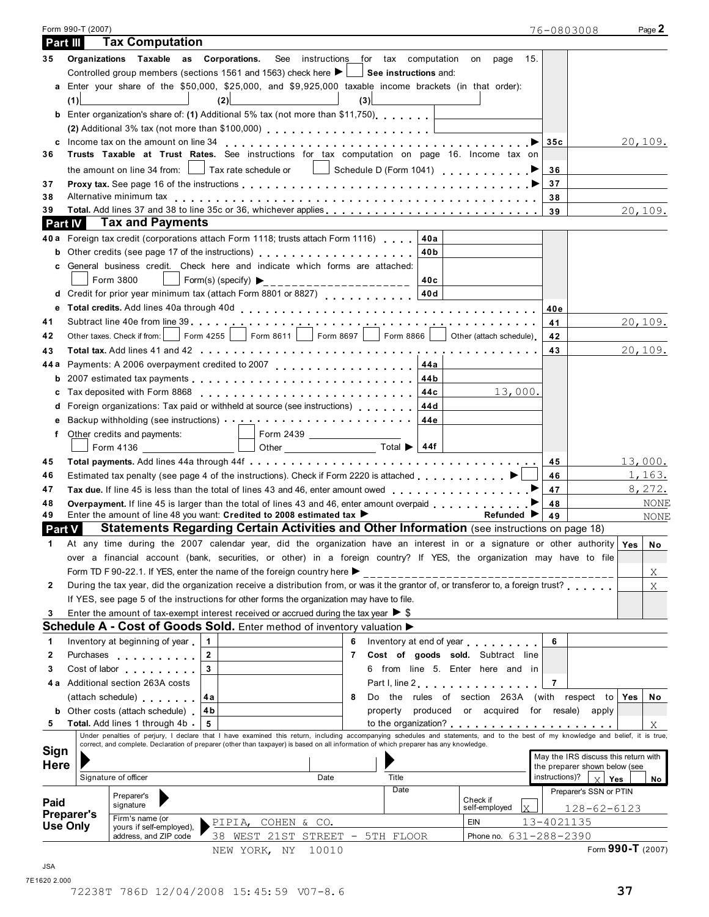|                                                              | Form 990-T (2007)                                                                                                                                                                                                                                                                                                         | 76-0803008                           | Page 2            |
|--------------------------------------------------------------|---------------------------------------------------------------------------------------------------------------------------------------------------------------------------------------------------------------------------------------------------------------------------------------------------------------------------|--------------------------------------|-------------------|
| Part III                                                     | <b>Tax Computation</b>                                                                                                                                                                                                                                                                                                    |                                      |                   |
| 35                                                           | Organizations Taxable as Corporations. See instructions for tax computation on<br>page 15.                                                                                                                                                                                                                                |                                      |                   |
|                                                              | Controlled group members (sections 1561 and 1563) check here $\blacktriangleright \Box$ See instructions and:                                                                                                                                                                                                             |                                      |                   |
|                                                              | a Enter your share of the \$50,000, \$25,000, and \$9,925,000 taxable income brackets (in that order):                                                                                                                                                                                                                    |                                      |                   |
|                                                              | the contract of the contract of<br>(3)<br>(2)<br>(1)                                                                                                                                                                                                                                                                      |                                      |                   |
|                                                              | <b>b</b> Enter organization's share of: (1) Additional 5% tax (not more than \$11,750)                                                                                                                                                                                                                                    |                                      |                   |
|                                                              |                                                                                                                                                                                                                                                                                                                           |                                      |                   |
|                                                              |                                                                                                                                                                                                                                                                                                                           | 35c                                  | 20,109.           |
| 36                                                           | Trusts Taxable at Trust Rates. See instructions for tax computation on page 16. Income tax on                                                                                                                                                                                                                             |                                      |                   |
|                                                              | the amount on line 34 from: $\Box$ Tax rate schedule or $\Box$ Schedule D (Form 1041) $\Box$                                                                                                                                                                                                                              | 36                                   |                   |
| 37                                                           |                                                                                                                                                                                                                                                                                                                           | 37                                   |                   |
| 38                                                           |                                                                                                                                                                                                                                                                                                                           | 38                                   |                   |
| 39                                                           |                                                                                                                                                                                                                                                                                                                           | 39                                   | 20,109.           |
| <b>Part IV</b>                                               | <b>Tax and Payments</b>                                                                                                                                                                                                                                                                                                   |                                      |                   |
| 40 a                                                         | Foreign tax credit (corporations attach Form 1118; trusts attach Form 1116)<br>40a                                                                                                                                                                                                                                        |                                      |                   |
|                                                              | Other credits (see page 17 of the instructions) entitled and set of the credits (see page 17 of the instructions)<br>40b                                                                                                                                                                                                  |                                      |                   |
| c                                                            | General business credit. Check here and indicate which forms are attached:                                                                                                                                                                                                                                                |                                      |                   |
|                                                              | Form 3800<br>Form(s) (specify) $\triangleright$ _______________________<br>40c                                                                                                                                                                                                                                            |                                      |                   |
| d                                                            | 40d<br>Credit for prior year minimum tax (attach Form 8801 or 8827)                                                                                                                                                                                                                                                       |                                      |                   |
| е                                                            |                                                                                                                                                                                                                                                                                                                           | 40e                                  |                   |
| 41                                                           |                                                                                                                                                                                                                                                                                                                           | 41                                   | 20,109.           |
| 42                                                           | Form 4255   Form 8611   Form 8697   Form 8866   Other (attach schedule)<br>Other taxes. Check if from:                                                                                                                                                                                                                    | 42                                   |                   |
| 43                                                           |                                                                                                                                                                                                                                                                                                                           | 43                                   | 20,109.           |
| 44 a                                                         | Payments: A 2006 overpayment credited to 2007                                                                                                                                                                                                                                                                             |                                      |                   |
| b                                                            |                                                                                                                                                                                                                                                                                                                           |                                      |                   |
|                                                              | 13,000.                                                                                                                                                                                                                                                                                                                   |                                      |                   |
|                                                              | Foreign organizations: Tax paid or withheld at source (see instructions) [44d]                                                                                                                                                                                                                                            |                                      |                   |
|                                                              | 44e                                                                                                                                                                                                                                                                                                                       |                                      |                   |
| f                                                            | Other credits and payments:                                                                                                                                                                                                                                                                                               |                                      |                   |
|                                                              | Other $\overline{\phantom{a}}$ Total $\blacktriangleright$ 44f                                                                                                                                                                                                                                                            |                                      |                   |
| 45                                                           |                                                                                                                                                                                                                                                                                                                           | 45                                   | 13,000.           |
| 46                                                           |                                                                                                                                                                                                                                                                                                                           | 46                                   | 1,163.            |
| 47                                                           |                                                                                                                                                                                                                                                                                                                           | 47                                   | 8,272.            |
| 48                                                           | Overpayment. If line 45 is larger than the total of lines 43 and 46, enter amount overpaid                                                                                                                                                                                                                                | 48                                   | NONE              |
| 49                                                           | Enter the amount of line 48 you want: Credited to 2008 estimated tax ▶<br>Refunded I                                                                                                                                                                                                                                      | 49                                   | NONE              |
| <b>Part V</b>                                                | Statements Regarding Certain Activities and Other Information (see instructions on page 18)                                                                                                                                                                                                                               |                                      |                   |
|                                                              | At any time during the 2007 calendar year, did the organization have an interest in or a signature or other authority Yes                                                                                                                                                                                                 |                                      | No                |
|                                                              | over a financial account (bank, securities, or other) in a foreign country? If YES, the organization may have to file                                                                                                                                                                                                     |                                      |                   |
|                                                              |                                                                                                                                                                                                                                                                                                                           |                                      |                   |
|                                                              |                                                                                                                                                                                                                                                                                                                           |                                      |                   |
|                                                              | Form TD F 90-22.1. If YES, enter the name of the foreign country here $\blacktriangleright$                                                                                                                                                                                                                               |                                      | $X_{-}$           |
|                                                              | During the tax year, did the organization receive a distribution from, or was it the grantor of, or transferor to, a foreign trust?                                                                                                                                                                                       |                                      | $\rm X$           |
|                                                              | If YES, see page 5 of the instructions for other forms the organization may have to file.                                                                                                                                                                                                                                 |                                      |                   |
|                                                              | Enter the amount of tax-exempt interest received or accrued during the tax year $\triangleright$ \$                                                                                                                                                                                                                       |                                      |                   |
|                                                              | Schedule A - Cost of Goods Sold. Enter method of inventory valuation $\blacktriangleright$                                                                                                                                                                                                                                |                                      |                   |
|                                                              | $\blacktriangleleft$<br>Inventory at beginning of year<br>Inventory at end of year measured                                                                                                                                                                                                                               | 6                                    |                   |
|                                                              | $\overline{2}$<br>Cost of goods sold. Subtract line<br>Purchases <b>Purchases</b><br>$\overline{7}$                                                                                                                                                                                                                       |                                      |                   |
|                                                              | $\overline{3}$<br>6 from line 5. Enter here and in<br>Cost of labor the cost of labor                                                                                                                                                                                                                                     |                                      |                   |
|                                                              | Additional section 263A costs<br>Part I, line 2 experience in the set of the set of the set of the set of the set of the set of the set of the set of the set of the set of the set of the set of the set of the set of the set of the set of the set of the se                                                           | 7                                    |                   |
|                                                              | Do the rules of section 263A (with respect to<br>(attach schedule)<br>4a<br>8                                                                                                                                                                                                                                             |                                      | ∣ Yes<br>No       |
| b                                                            | produced or acquired for resale) apply<br>4b<br>Other costs (attach schedule).<br>property                                                                                                                                                                                                                                |                                      |                   |
| 2<br>3<br>4 а                                                | <b>Total.</b> Add lines 1 through 4b.<br>5                                                                                                                                                                                                                                                                                |                                      | Χ                 |
|                                                              | Under penalties of perjury, I declare that I have examined this return, including accompanying schedules and statements, and to the best of my knowledge and belief, it is true,<br>correct, and complete. Declaration of preparer (other than taxpayer) is based on all information of which preparer has any knowledge. |                                      |                   |
|                                                              |                                                                                                                                                                                                                                                                                                                           | May the IRS discuss this return with |                   |
|                                                              |                                                                                                                                                                                                                                                                                                                           | the preparer shown below (see        |                   |
|                                                              | Signature of officer<br>Date<br>Title                                                                                                                                                                                                                                                                                     | instructions)?<br>$\vee$             | Yes<br>No         |
|                                                              | Date<br>Preparer's<br>Check if                                                                                                                                                                                                                                                                                            | Preparer's SSN or PTIN               |                   |
| $\mathbf{2}$<br>3<br>1<br>5                                  | signature<br>self-employed                                                                                                                                                                                                                                                                                                | lx I                                 | $128 - 62 - 6123$ |
| <b>Sign</b><br>Here<br>Paid<br><b>Preparer's</b><br>Use Only | Firm's name (or<br>EIN<br>PIPIA, COHEN & CO.<br>yours if self-employed),                                                                                                                                                                                                                                                  | 13-4021135                           |                   |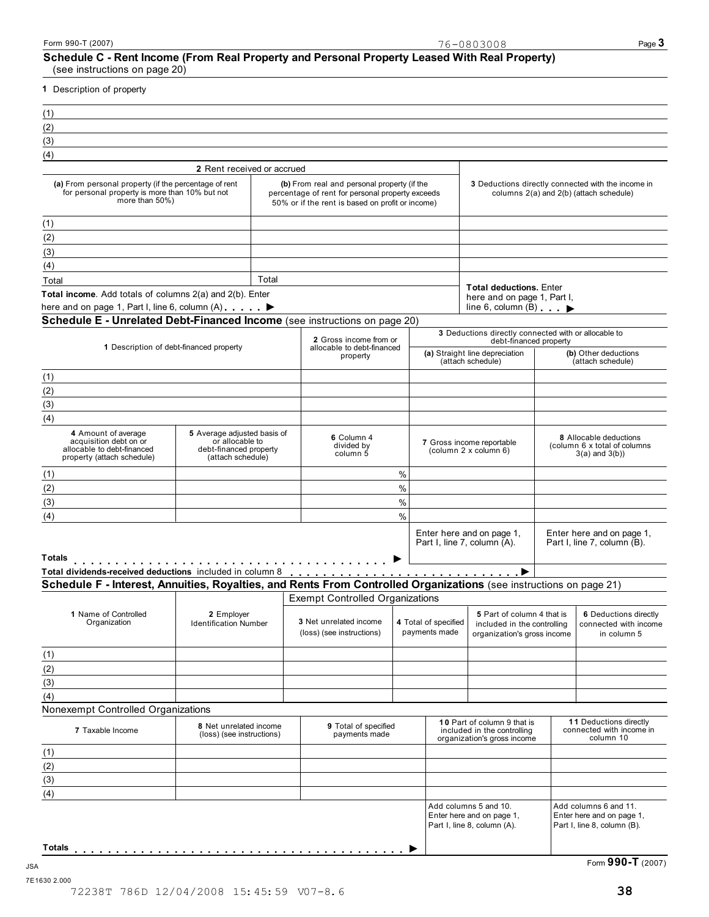### **Schedule C - Rent Income (From Real Property and Personal Property Leased With Real Property)** (see instructions on page 20)

**1** Description of property

| (1) |                                                                                                                 |  |
|-----|-----------------------------------------------------------------------------------------------------------------|--|
| (2) |                                                                                                                 |  |
| (3) |                                                                                                                 |  |
| (4) |                                                                                                                 |  |
|     | 1000 - 1000 - 1000 - 1000 - 1000 - 1000 - 1000 - 1000 - 1000 - 1000 - 1000 - 1000 - 1000 - 1000 - 1000 - 1000 - |  |

|                                                                                                                           | 2 Rent received or accrued                                                                    |                                                                                                                                                     |               |                                       |                                                                                          |                                                                                               |
|---------------------------------------------------------------------------------------------------------------------------|-----------------------------------------------------------------------------------------------|-----------------------------------------------------------------------------------------------------------------------------------------------------|---------------|---------------------------------------|------------------------------------------------------------------------------------------|-----------------------------------------------------------------------------------------------|
| (a) From personal property (if the percentage of rent<br>for personal property is more than 10% but not<br>more than 50%) |                                                                                               | (b) From real and personal property (if the<br>percentage of rent for personal property exceeds<br>50% or if the rent is based on profit or income) |               |                                       |                                                                                          | 3 Deductions directly connected with the income in<br>columns 2(a) and 2(b) (attach schedule) |
| (1)                                                                                                                       |                                                                                               |                                                                                                                                                     |               |                                       |                                                                                          |                                                                                               |
| (2)                                                                                                                       |                                                                                               |                                                                                                                                                     |               |                                       |                                                                                          |                                                                                               |
| (3)                                                                                                                       |                                                                                               |                                                                                                                                                     |               |                                       |                                                                                          |                                                                                               |
| (4)                                                                                                                       |                                                                                               |                                                                                                                                                     |               |                                       |                                                                                          |                                                                                               |
| Total                                                                                                                     | Total                                                                                         |                                                                                                                                                     |               |                                       |                                                                                          |                                                                                               |
| Total income. Add totals of columns 2(a) and 2(b). Enter                                                                  |                                                                                               |                                                                                                                                                     |               |                                       | <b>Total deductions. Enter</b><br>here and on page 1, Part I,                            |                                                                                               |
| here and on page 1, Part I, line 6, column (A) ▶                                                                          |                                                                                               |                                                                                                                                                     |               |                                       | line 6, column $(B)$                                                                     |                                                                                               |
| Schedule E - Unrelated Debt-Financed Income (see instructions on page 20)                                                 |                                                                                               |                                                                                                                                                     |               |                                       | 3 Deductions directly connected with or allocable to                                     |                                                                                               |
|                                                                                                                           |                                                                                               | 2 Gross income from or                                                                                                                              |               |                                       | debt-financed property                                                                   |                                                                                               |
| 1 Description of debt-financed property                                                                                   |                                                                                               | allocable to debt-financed<br>property                                                                                                              |               |                                       | (a) Straight line depreciation<br>(attach schedule)                                      | (b) Other deductions<br>(attach schedule)                                                     |
| (1)                                                                                                                       |                                                                                               |                                                                                                                                                     |               |                                       |                                                                                          |                                                                                               |
| (2)                                                                                                                       |                                                                                               |                                                                                                                                                     |               |                                       |                                                                                          |                                                                                               |
| (3)                                                                                                                       |                                                                                               |                                                                                                                                                     |               |                                       |                                                                                          |                                                                                               |
| (4)                                                                                                                       |                                                                                               |                                                                                                                                                     |               |                                       |                                                                                          |                                                                                               |
| 4 Amount of average<br>acquisition debt on or<br>allocable to debt-financed<br>property (attach schedule)                 | 5 Average adjusted basis of<br>or allocable to<br>debt-financed property<br>(attach schedule) | 6 Column 4<br>divided by<br>column 5                                                                                                                |               |                                       | 7 Gross income reportable<br>(column 2 x column 6)                                       | 8 Allocable deductions<br>(column 6 x total of columns)<br>$3(a)$ and $3(b)$ )                |
| (1)                                                                                                                       |                                                                                               |                                                                                                                                                     | %             |                                       |                                                                                          |                                                                                               |
| (2)                                                                                                                       |                                                                                               |                                                                                                                                                     | %             |                                       |                                                                                          |                                                                                               |
| (3)                                                                                                                       |                                                                                               |                                                                                                                                                     | %             |                                       |                                                                                          |                                                                                               |
| (4)                                                                                                                       |                                                                                               |                                                                                                                                                     | $\frac{0}{0}$ |                                       |                                                                                          |                                                                                               |
|                                                                                                                           |                                                                                               |                                                                                                                                                     |               |                                       | Enter here and on page 1,<br>Part I, line 7, column (A).                                 | Enter here and on page 1,<br>Part I, line 7, column (B).                                      |
| <b>Totals</b><br>Total dividends-received deductions included in column 8                                                 |                                                                                               |                                                                                                                                                     |               |                                       |                                                                                          |                                                                                               |
| Schedule F - Interest, Annuities, Royalties, and Rents From Controlled Organizations (see instructions on page 21)        |                                                                                               |                                                                                                                                                     |               |                                       |                                                                                          |                                                                                               |
|                                                                                                                           |                                                                                               | <b>Exempt Controlled Organizations</b>                                                                                                              |               |                                       |                                                                                          |                                                                                               |
| 1 Name of Controlled<br>Organization                                                                                      | 2 Employer<br><b>Identification Number</b>                                                    | 3 Net unrelated income<br>(loss) (see instructions)                                                                                                 |               | 4 Total of specified<br>payments made | 5 Part of column 4 that is<br>included in the controlling<br>organization's gross income | 6 Deductions directly<br>connected with income<br>in column 5                                 |
| (1)                                                                                                                       |                                                                                               |                                                                                                                                                     |               |                                       |                                                                                          |                                                                                               |
|                                                                                                                           |                                                                                               |                                                                                                                                                     |               |                                       |                                                                                          |                                                                                               |

 $(4)$ Nonexempt Controlled Organizations

| 7 Taxable Income | 8 Net unrelated income<br>(loss) (see instructions) | 9 Total of specified<br>payments made | 10 Part of column 9 that is<br>included in the controlling<br>organization's gross income | 11 Deductions directly<br>connected with income in<br>column 10                   |
|------------------|-----------------------------------------------------|---------------------------------------|-------------------------------------------------------------------------------------------|-----------------------------------------------------------------------------------|
| (1)              |                                                     |                                       |                                                                                           |                                                                                   |
| (2)              |                                                     |                                       |                                                                                           |                                                                                   |
| (3)              |                                                     |                                       |                                                                                           |                                                                                   |
| (4)              |                                                     |                                       |                                                                                           |                                                                                   |
|                  |                                                     |                                       | Add columns 5 and 10.<br>Enter here and on page 1,<br>Part I, line 8, column (A).         | Add columns 6 and 11.<br>Enter here and on page 1,<br>Part I, line 8, column (B). |
| Totals           |                                                     |                                       |                                                                                           |                                                                                   |

7E1630 2.000

 $(2)$ (3)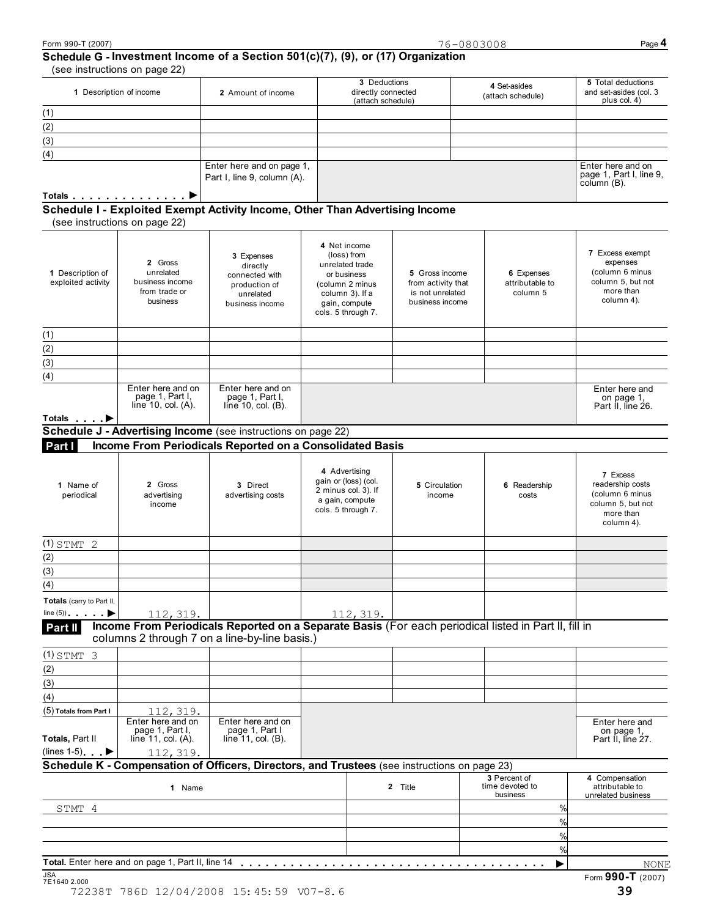# **Schedule G - Investment Income of a Section 501(c)(7), (9), or (17) Organization**

| (see instructions on page 22)                                                |                                                          |                                                         |                                   |                                                              |
|------------------------------------------------------------------------------|----------------------------------------------------------|---------------------------------------------------------|-----------------------------------|--------------------------------------------------------------|
| 1 Description of income                                                      | 2 Amount of income                                       | 3 Deductions<br>directly connected<br>(attach schedule) | 4 Set-asides<br>(attach schedule) | 5 Total deductions<br>and set-asides (col. 3<br>plus col. 4) |
| (1)                                                                          |                                                          |                                                         |                                   |                                                              |
| (2)                                                                          |                                                          |                                                         |                                   |                                                              |
| (3)                                                                          |                                                          |                                                         |                                   |                                                              |
| (4)                                                                          |                                                          |                                                         |                                   |                                                              |
|                                                                              | Enter here and on page 1,<br>Part I, line 9, column (A). |                                                         |                                   | Enter here and on<br>page 1, Part I, line 9,<br>column (B).  |
| Totals <b>Department of the Contract Order</b>                               |                                                          |                                                         |                                   |                                                              |
| Schedule I - Exploited Exempt Activity Income, Other Than Advertising Income |                                                          |                                                         |                                   |                                                              |

screame **T** Explored Exer<br>(see instructions on page 22)

| 1 Description of<br>exploited activity | 2 Gross<br>unrelated<br>business income<br>from trade or<br>business | 3 Expenses<br>directly<br>connected with<br>production of<br>unrelated<br>business income | 4 Net income<br>(loss) from<br>unrelated trade<br>or business<br>(column 2 minus<br>column 3). If a<br>gain, compute<br>cols. 5 through 7. | 5 Gross income<br>from activity that<br>is not unrelated<br>business income | 6 Expenses<br>attributable to<br>column 5   | 7 Excess exempt<br>expenses<br>(column 6 minus<br>column 5, but not<br>more than<br>column 4).  |
|----------------------------------------|----------------------------------------------------------------------|-------------------------------------------------------------------------------------------|--------------------------------------------------------------------------------------------------------------------------------------------|-----------------------------------------------------------------------------|---------------------------------------------|-------------------------------------------------------------------------------------------------|
| (1)                                    |                                                                      |                                                                                           |                                                                                                                                            |                                                                             |                                             |                                                                                                 |
| (2)                                    |                                                                      |                                                                                           |                                                                                                                                            |                                                                             |                                             |                                                                                                 |
| (3)                                    |                                                                      |                                                                                           |                                                                                                                                            |                                                                             |                                             |                                                                                                 |
| (4)                                    |                                                                      |                                                                                           |                                                                                                                                            |                                                                             |                                             |                                                                                                 |
| Totals >                               | Enter here and on<br>page 1, Part I,<br>line $10$ , col. $(A)$ .     | Enter here and on<br>page 1, Part I,<br>line $10$ , col. $(B)$ .                          |                                                                                                                                            |                                                                             |                                             | Enter here and<br>on page 1,<br>Part II, line 26.                                               |
|                                        |                                                                      | Schedule J - Advertising Income (see instructions on page 22)                             |                                                                                                                                            |                                                                             |                                             |                                                                                                 |
| Part I                                 |                                                                      |                                                                                           | Income From Periodicals Reported on a Consolidated Basis                                                                                   |                                                                             |                                             |                                                                                                 |
|                                        |                                                                      |                                                                                           |                                                                                                                                            |                                                                             |                                             |                                                                                                 |
| 1 Name of<br>periodical                | 2 Gross<br>advertising<br>income                                     | 3 Direct<br>advertising costs                                                             | 4 Advertising<br>gain or (loss) (col.<br>2 minus col. 3). If<br>a gain, compute<br>cols. 5 through 7.                                      | 5 Circulation<br>income                                                     | 6 Readership<br>costs                       | 7 Excess<br>readership costs<br>(column 6 minus<br>column 5, but not<br>more than<br>column 4). |
| $(1)$ STMT 2                           |                                                                      |                                                                                           |                                                                                                                                            |                                                                             |                                             |                                                                                                 |
| (2)                                    |                                                                      |                                                                                           |                                                                                                                                            |                                                                             |                                             |                                                                                                 |
| (3)                                    |                                                                      |                                                                                           |                                                                                                                                            |                                                                             |                                             |                                                                                                 |
| (4)                                    |                                                                      |                                                                                           |                                                                                                                                            |                                                                             |                                             |                                                                                                 |
| Totals (carry to Part II,              |                                                                      |                                                                                           |                                                                                                                                            |                                                                             |                                             |                                                                                                 |
| line $(5)$ $\rightarrow$               | 112, 319.                                                            |                                                                                           | 112, 319.                                                                                                                                  |                                                                             |                                             |                                                                                                 |
| Part II                                |                                                                      | columns 2 through 7 on a line-by-line basis.)                                             | Income From Periodicals Reported on a Separate Basis (For each periodical listed in Part II, fill in                                       |                                                                             |                                             |                                                                                                 |
| $(1)$ STMT 3                           |                                                                      |                                                                                           |                                                                                                                                            |                                                                             |                                             |                                                                                                 |
| (2)                                    |                                                                      |                                                                                           |                                                                                                                                            |                                                                             |                                             |                                                                                                 |
| (3)                                    |                                                                      |                                                                                           |                                                                                                                                            |                                                                             |                                             |                                                                                                 |
| (4)                                    |                                                                      |                                                                                           |                                                                                                                                            |                                                                             |                                             |                                                                                                 |
| (5) Totals from Part I                 | 112, 319.                                                            |                                                                                           |                                                                                                                                            |                                                                             |                                             |                                                                                                 |
| Totals, Part II                        | Enter here and on<br>page 1, Part I,<br>line 11, col. $(A)$ .        | Enter here and on<br>page 1, Part I<br>line $11$ , col. $(B)$ .                           |                                                                                                                                            |                                                                             |                                             | Enter here and<br>on page 1,<br>Part II, line 27.                                               |
| (lines 1-5) $\longrightarrow$          | 112, 319.                                                            |                                                                                           |                                                                                                                                            |                                                                             |                                             |                                                                                                 |
|                                        |                                                                      |                                                                                           | Schedule K - Compensation of Officers, Directors, and Trustees (see instructions on page 23)                                               |                                                                             |                                             |                                                                                                 |
|                                        | 1 Name                                                               |                                                                                           |                                                                                                                                            | 2 Title                                                                     | 3 Percent of<br>time devoted to<br>business | 4 Compensation<br>attributable to<br>unrelated business                                         |
| STMT 4                                 |                                                                      |                                                                                           |                                                                                                                                            |                                                                             | $\frac{9}{6}$                               |                                                                                                 |
|                                        |                                                                      |                                                                                           |                                                                                                                                            |                                                                             | $\frac{9}{10}$                              |                                                                                                 |
|                                        |                                                                      |                                                                                           |                                                                                                                                            |                                                                             | %                                           |                                                                                                 |
|                                        |                                                                      |                                                                                           |                                                                                                                                            |                                                                             | %                                           |                                                                                                 |
|                                        | Total. Enter here and on page 1, Part II, line 14                    |                                                                                           |                                                                                                                                            |                                                                             |                                             | NONE                                                                                            |
| <b>JSA</b><br>7E1640 2.000             |                                                                      |                                                                                           |                                                                                                                                            |                                                                             |                                             | Form 990-T (2007)                                                                               |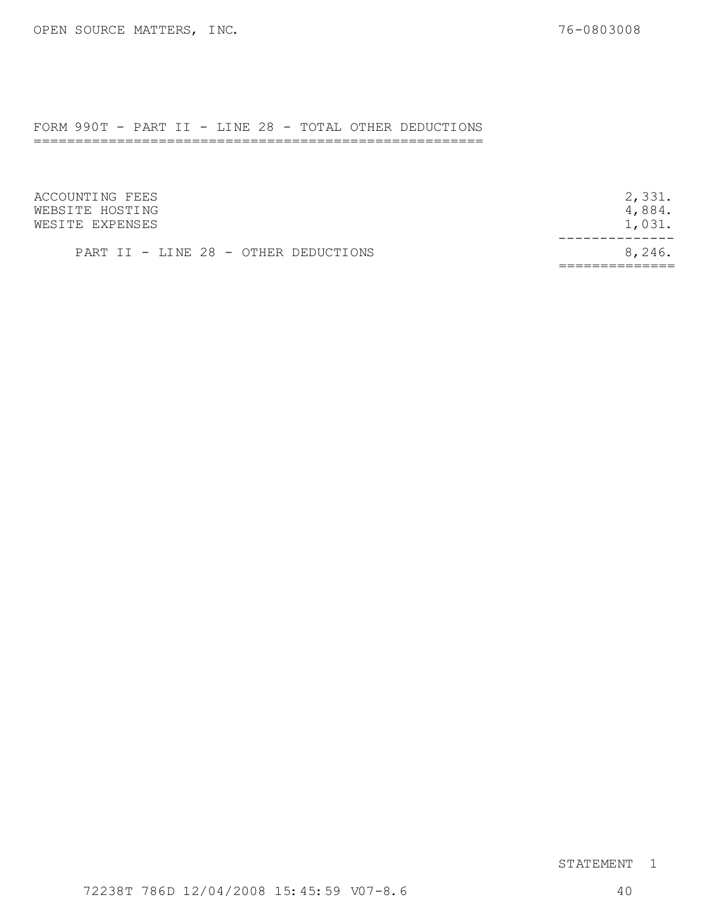# FORM 990T - PART II - LINE 28 - TOTAL OTHER DEDUCTIONS

======================================================

| ACCOUNTING FEES                      | 2,331. |
|--------------------------------------|--------|
| WEBSITE HOSTING                      | 4,884. |
| WESITE EXPENSES                      | 1,031. |
| PART II - LINE 28 - OTHER DEDUCTIONS | 8,246. |

## STATEMENT 1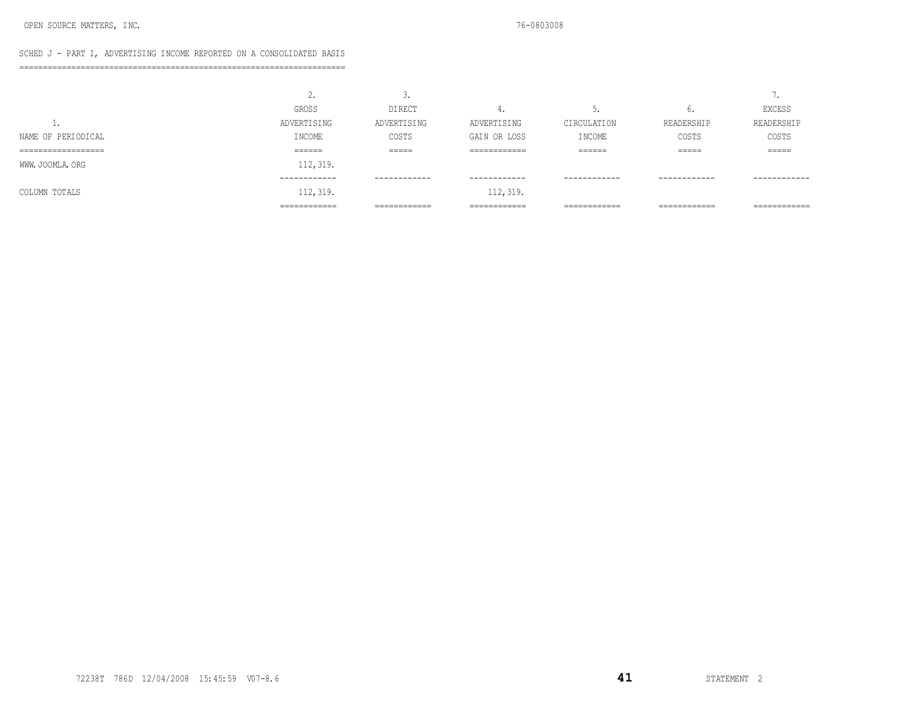### SCHED J - PART I, ADVERTISING INCOME REPORTED ON A CONSOLIDATED BASIS

=====================================================================

|                                           | ٠.                 | ◡•                            |                                |                   |                                | -                            |
|-------------------------------------------|--------------------|-------------------------------|--------------------------------|-------------------|--------------------------------|------------------------------|
|                                           | <b>GROSS</b>       | <b>DIRECT</b>                 | . .                            | ◡.                | ν.                             | EXCESS                       |
| <b>.</b>                                  | ADVERTISING        | ADVERTISING                   | ADVERTISING                    | CIRCULATION       | READERSHIP                     | READERSHIP                   |
| NAME OF PERIODICAL                        | INCOME             | COSTS                         | GAIN OR LOSS                   | INCOME            | COSTS                          | COSTS                        |
| ___________________<br>------------------ | _______<br>------- | ------<br>------              | -------------<br>------------- | ______<br>------- | ------<br>-----                | ------<br>------             |
| WWW. JOOMLA. ORG                          | 112, 319.          |                               |                                |                   |                                |                              |
|                                           | ------------       | ------------                  | ------------                   | ------------      | ------------                   | ------------                 |
| COLUMN TOTALS                             | 112, 319.          |                               | 112, 319.                      |                   |                                |                              |
|                                           | ============       | -------------<br>------------ | -------------<br>------------- | ============      | -------------<br>------------- | -------------<br>----------- |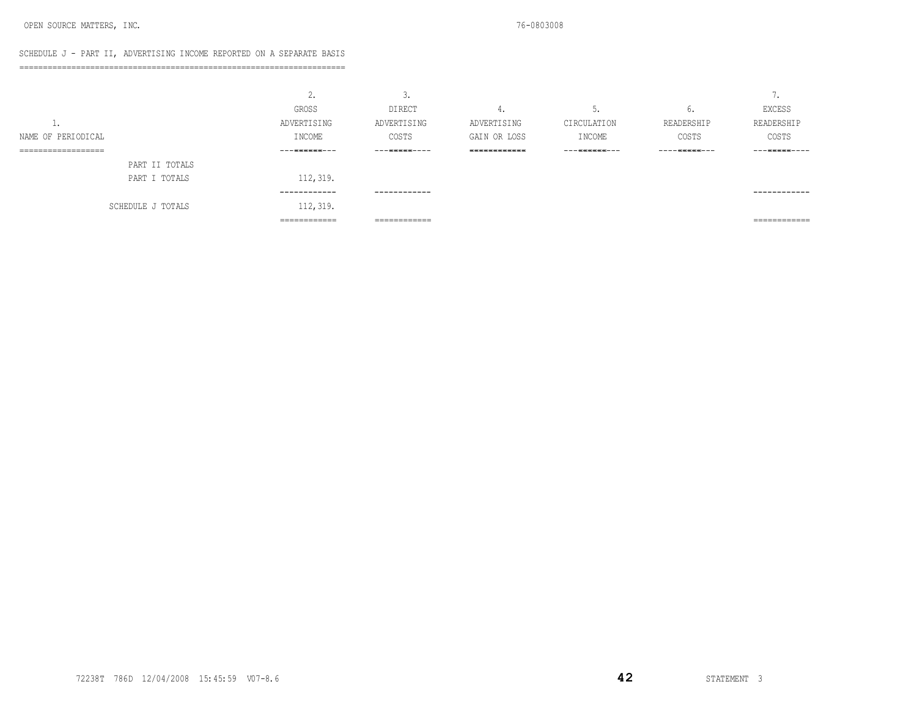### SCHEDULE J - PART II, ADVERTISING INCOME REPORTED ON A SEPARATE BASIS

=====================================================================

|                                           | <u>.</u>                       | ◡.                             |                    |                          |                 | -<br>$\cdot$                   |
|-------------------------------------------|--------------------------------|--------------------------------|--------------------|--------------------------|-----------------|--------------------------------|
|                                           | GROSS                          | <b>DIRECT</b>                  | 4.                 | <u>.</u>                 | U.              | EXCESS                         |
| <b>.</b>                                  | ADVERTISING                    | ADVERTISING                    | ADVERTISING        | CIRCULATION              | READERSHIP      | READERSHIP                     |
| NAME OF PERIODICAL                        | INCOME                         | COSTS                          | GAIN OR LOSS       | I NCOME                  | COSTS           | COSTS                          |
| -------------------<br>------------------ | ーーー三三三三三三一一一                   | ーーー三三三三三一ーーー                   | <b>EEEEEEEEEEE</b> | --- <del>-</del> ------- | ----- 三三三三二 --- | ーーー三三三三三一ーーー                   |
| PART II TOTALS                            |                                |                                |                    |                          |                 |                                |
| PART I TOTALS                             | 112, 319.                      |                                |                    |                          |                 |                                |
|                                           | ------------                   | ------------                   |                    |                          |                 | ------------                   |
| SCHEDULE J TOTALS                         | 112, 319.                      |                                |                    |                          |                 |                                |
|                                           | -------------<br>------------- | -------------<br>------------- |                    |                          |                 | _____________<br>------------- |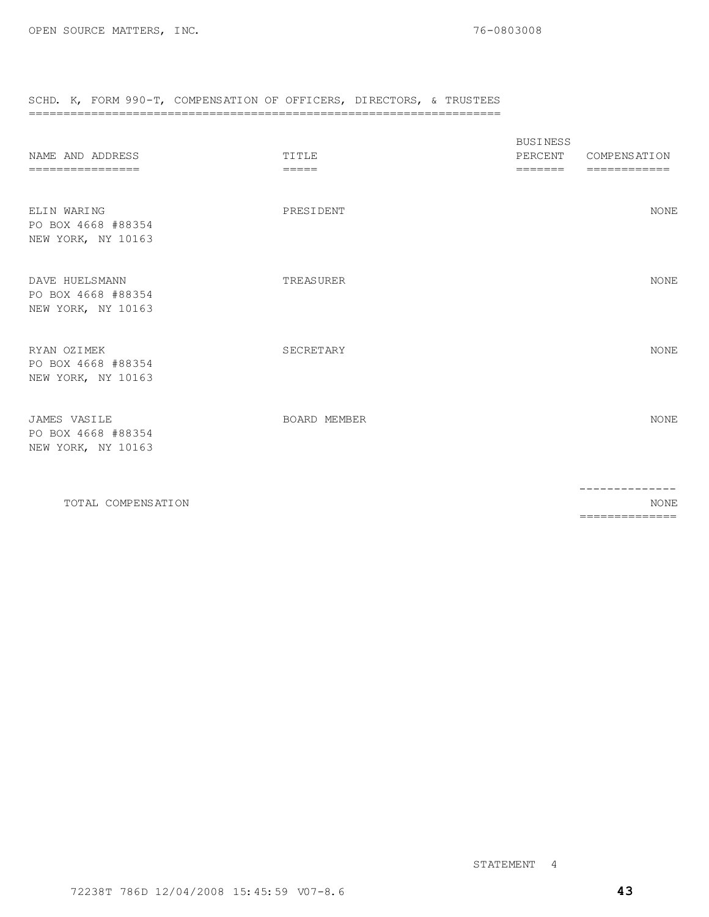# SCHD. K, FORM 990-T, COMPENSATION OF OFFICERS, DIRECTORS, & TRUSTEES

### ====================================================================

| NAME AND ADDRESS<br>================                       | TITLE<br>$=====$ | <b>BUSINESS</b><br>PERCENT<br>$=$ $=$ $=$ $=$ $=$ $=$ | <b>COMPENSATION</b><br>============ |
|------------------------------------------------------------|------------------|-------------------------------------------------------|-------------------------------------|
| ELIN WARING<br>PO BOX 4668 #88354<br>NEW YORK, NY 10163    | PRESIDENT        |                                                       | NONE                                |
| DAVE HUELSMANN<br>PO BOX 4668 #88354<br>NEW YORK, NY 10163 | TREASURER        |                                                       | <b>NONE</b>                         |
| RYAN OZIMEK<br>PO BOX 4668 #88354<br>NEW YORK, NY 10163    | SECRETARY        |                                                       | <b>NONE</b>                         |
| JAMES VASILE<br>PO BOX 4668 #88354<br>NEW YORK, NY 10163   | BOARD MEMBER     |                                                       | <b>NONE</b>                         |
|                                                            |                  |                                                       | --------------                      |

TOTAL COMPENSATION NONE ==============

STATEMENT 4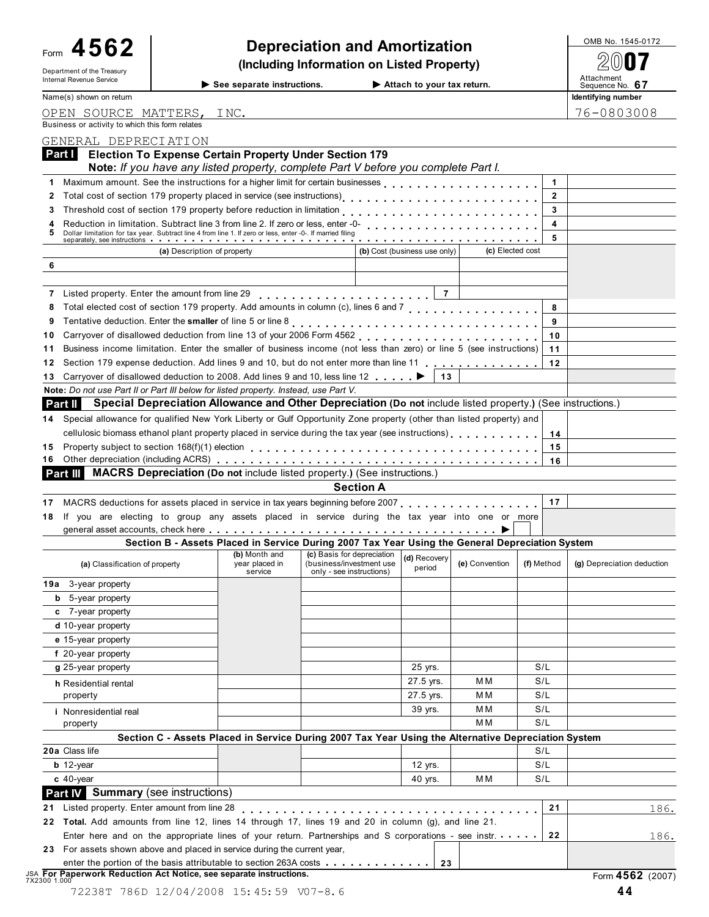| 4562<br>Form                                                      |                                                                                                                                                                                                                                | <b>Depreciation and Amortization</b>                 |                  |                              |                      |                      | OMB No. 1545-0172             |
|-------------------------------------------------------------------|--------------------------------------------------------------------------------------------------------------------------------------------------------------------------------------------------------------------------------|------------------------------------------------------|------------------|------------------------------|----------------------|----------------------|-------------------------------|
| Department of the Treasury                                        | (Including Information on Listed Property)                                                                                                                                                                                     |                                                      |                  |                              |                      |                      |                               |
| Internal Revenue Service                                          | See separate instructions.                                                                                                                                                                                                     |                                                      |                  | Attach to your tax return.   |                      |                      | Attachment<br>Sequence No. 67 |
| Name(s) shown on return                                           |                                                                                                                                                                                                                                |                                                      |                  |                              |                      |                      | Identifying number            |
| OPEN SOURCE MATTERS, INC.                                         |                                                                                                                                                                                                                                |                                                      |                  |                              |                      |                      | 76-0803008                    |
| Business or activity to which this form relates                   |                                                                                                                                                                                                                                |                                                      |                  |                              |                      |                      |                               |
| GENERAL DEPRECIATION                                              |                                                                                                                                                                                                                                |                                                      |                  |                              |                      |                      |                               |
| Part I                                                            | <b>Election To Expense Certain Property Under Section 179</b><br>Note: If you have any listed property, complete Part V before you complete Part I.                                                                            |                                                      |                  |                              |                      |                      |                               |
| 1                                                                 | Maximum amount. See the instructions for a higher limit for certain businesses                                                                                                                                                 |                                                      |                  |                              |                      | $\blacktriangleleft$ |                               |
| 2                                                                 | Total cost of section 179 property placed in service (see instructions)<br>                                                                                                                                                    |                                                      |                  |                              |                      | $\overline{2}$       |                               |
| 3                                                                 | Threshold cost of section 179 property before reduction in limitation                                                                                                                                                          |                                                      |                  |                              |                      | 3                    |                               |
| 5                                                                 | Reduction in limitation. Subtract line 3 from line 2. If zero or less, enter -0-<br>Dollar limitation for tax year. Subtract line 4 from line 1. If zero or less, enter -0-. If married filing                                 |                                                      |                  |                              |                      | 4                    |                               |
|                                                                   | separately, see instructions with the set of the set of the set of the set of the set of the set of the set of the set of the set of the set of the set of the set of the set of the set of the set of the set of the set of t |                                                      |                  |                              |                      | 5                    |                               |
|                                                                   | (a) Description of property                                                                                                                                                                                                    |                                                      |                  | (b) Cost (business use only) | (c) Elected cost     |                      |                               |
| 6                                                                 |                                                                                                                                                                                                                                |                                                      |                  |                              |                      |                      |                               |
| Listed property. Enter the amount from line 29<br>7               |                                                                                                                                                                                                                                |                                                      |                  | $\overline{7}$               |                      |                      |                               |
| 8                                                                 |                                                                                                                                                                                                                                |                                                      |                  |                              |                      | 8                    |                               |
| 9                                                                 |                                                                                                                                                                                                                                |                                                      |                  |                              |                      | 9                    |                               |
| 10                                                                |                                                                                                                                                                                                                                |                                                      |                  |                              |                      | 10                   |                               |
| 11                                                                | Business income limitation. Enter the smaller of business income (not less than zero) or line 5 (see instructions)                                                                                                             |                                                      |                  |                              |                      | 11                   |                               |
| 12                                                                | Section 179 expense deduction. Add lines 9 and 10, but do not enter more than line 11                                                                                                                                          |                                                      |                  |                              |                      | 12                   |                               |
| 13                                                                | Carryover of disallowed deduction to 2008. Add lines 9 and 10, less line 12                                                                                                                                                    |                                                      |                  | 13                           |                      |                      |                               |
| Part II                                                           | Note: Do not use Part II or Part III below for listed property. Instead, use Part V.<br>Special Depreciation Allowance and Other Depreciation (Do not include listed property.) (See instructions.)                            |                                                      |                  |                              |                      |                      |                               |
| 14.                                                               | Special allowance for qualified New York Liberty or Gulf Opportunity Zone property (other than listed property) and                                                                                                            |                                                      |                  |                              |                      |                      |                               |
|                                                                   | cellulosic biomass ethanol plant property placed in service during the tax year (see instructions).                                                                                                                            |                                                      |                  |                              |                      | 14                   |                               |
| 15                                                                |                                                                                                                                                                                                                                |                                                      |                  |                              |                      |                      |                               |
|                                                                   |                                                                                                                                                                                                                                |                                                      |                  |                              |                      | 15                   |                               |
| 16                                                                |                                                                                                                                                                                                                                |                                                      |                  |                              |                      | 16                   |                               |
| Part III                                                          | <b>MACRS Depreciation (Do not include listed property.) (See instructions.)</b>                                                                                                                                                |                                                      |                  |                              |                      |                      |                               |
|                                                                   |                                                                                                                                                                                                                                |                                                      | <b>Section A</b> |                              |                      |                      |                               |
|                                                                   | MACRS deductions for assets placed in service in tax years beginning before 2007                                                                                                                                               |                                                      |                  |                              |                      | 17                   |                               |
|                                                                   | If you are electing to group any assets placed in service during the tax year into one or more                                                                                                                                 |                                                      |                  |                              |                      |                      |                               |
|                                                                   |                                                                                                                                                                                                                                |                                                      |                  |                              |                      |                      |                               |
|                                                                   | Section B - Assets Placed in Service During 2007 Tax Year Using the General Depreciation System<br>(b) Month and                                                                                                               | (c) Basis for depreciation                           |                  |                              |                      |                      |                               |
| (a) Classification of property                                    | year placed in<br>service                                                                                                                                                                                                      | (business/investment use<br>only - see instructions) |                  | (d) Recovery<br>period       | (e) Convention       | (f) Method           | (g) Depreciation deduction    |
|                                                                   |                                                                                                                                                                                                                                |                                                      |                  |                              |                      |                      |                               |
| <b>b</b> 5-year property                                          |                                                                                                                                                                                                                                |                                                      |                  |                              |                      |                      |                               |
| c 7-year property                                                 |                                                                                                                                                                                                                                |                                                      |                  |                              |                      |                      |                               |
| d 10-year property                                                |                                                                                                                                                                                                                                |                                                      |                  |                              |                      |                      |                               |
| e 15-year property                                                |                                                                                                                                                                                                                                |                                                      |                  |                              |                      |                      |                               |
| 17<br>18<br>19a 3-year property<br>f 20-year property             |                                                                                                                                                                                                                                |                                                      |                  |                              |                      |                      |                               |
| g 25-year property                                                |                                                                                                                                                                                                                                |                                                      |                  | 25 yrs.                      |                      | S/L                  |                               |
| h Residential rental                                              |                                                                                                                                                                                                                                |                                                      |                  | 27.5 yrs.                    | МM<br>M <sub>M</sub> | S/L<br>S/L           |                               |
| property                                                          |                                                                                                                                                                                                                                |                                                      |                  | 27.5 yrs.<br>39 yrs.         | M M                  | S/L                  |                               |
| <i>i</i> Nonresidential real<br>property                          |                                                                                                                                                                                                                                |                                                      |                  |                              | M M                  | S/L                  |                               |
|                                                                   | Section C - Assets Placed in Service During 2007 Tax Year Using the Alternative Depreciation System                                                                                                                            |                                                      |                  |                              |                      |                      |                               |
|                                                                   |                                                                                                                                                                                                                                |                                                      |                  |                              |                      | S/L                  |                               |
| $b$ 12-year                                                       |                                                                                                                                                                                                                                |                                                      |                  | 12 yrs.                      |                      | S/L                  |                               |
| $c$ 40-year                                                       |                                                                                                                                                                                                                                |                                                      |                  | 40 yrs.                      | M <sub>M</sub>       | S/L                  |                               |
|                                                                   |                                                                                                                                                                                                                                |                                                      |                  |                              |                      |                      |                               |
| Listed property. Enter amount from line 28                        |                                                                                                                                                                                                                                |                                                      |                  |                              |                      | 21                   | 186.                          |
|                                                                   | 22 Total. Add amounts from line 12, lines 14 through 17, lines 19 and 20 in column (g), and line 21.                                                                                                                           |                                                      |                  |                              |                      |                      |                               |
| 20a Class life<br><b>Part IV</b> Summary (see instructions)<br>21 | Enter here and on the appropriate lines of your return. Partnerships and S corporations - see instr.<br>23 For assets shown above and placed in service during the current year,                                               |                                                      |                  |                              |                      | 22                   | <u>186.</u>                   |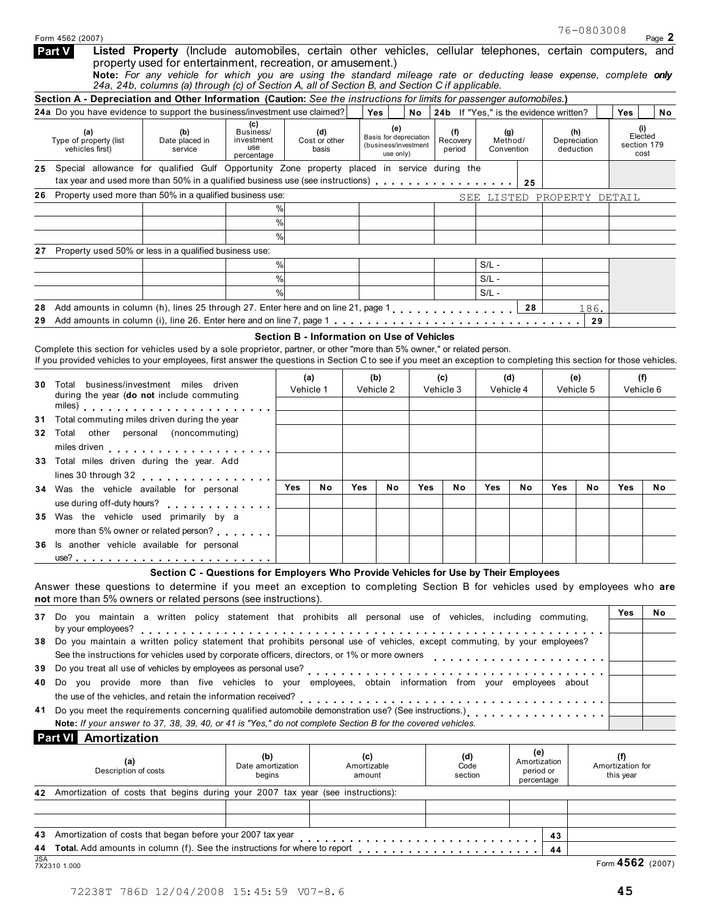|            | Form 4562 (2007)                                                                                                                                                                                                                                                                               |                                                                                                                                                                                                                                                                                                                                                                                                 |                                                     |           |                                            |     |                              |                                                |                                        |         |                              |                                  |                                      |                                       | Page 2 |
|------------|------------------------------------------------------------------------------------------------------------------------------------------------------------------------------------------------------------------------------------------------------------------------------------------------|-------------------------------------------------------------------------------------------------------------------------------------------------------------------------------------------------------------------------------------------------------------------------------------------------------------------------------------------------------------------------------------------------|-----------------------------------------------------|-----------|--------------------------------------------|-----|------------------------------|------------------------------------------------|----------------------------------------|---------|------------------------------|----------------------------------|--------------------------------------|---------------------------------------|--------|
|            | Part V                                                                                                                                                                                                                                                                                         | Listed Property (Include automobiles, certain other vehicles, cellular telephones, certain computers, and<br>property used for entertainment, recreation, or amusement.)<br>Note: For any vehicle for which you are using the standard mileage rate or deducting lease expense, complete only<br>24a, 24b, columns (a) through (c) of Section A, all of Section B, and Section C if applicable. |                                                     |           |                                            |     |                              |                                                |                                        |         |                              |                                  |                                      |                                       |        |
|            | Section A - Depreciation and Other Information (Caution: See the instructions for limits for passenger automobiles.)                                                                                                                                                                           |                                                                                                                                                                                                                                                                                                                                                                                                 |                                                     |           |                                            |     |                              |                                                |                                        |         |                              |                                  |                                      |                                       |        |
|            | 24a Do you have evidence to support the business/investment use claimed?                                                                                                                                                                                                                       |                                                                                                                                                                                                                                                                                                                                                                                                 |                                                     |           |                                            |     | Yes                          | <b>No</b>                                      | 24b If "Yes," is the evidence written? |         |                              |                                  |                                      | Yes                                   | No     |
|            | (a)<br>Type of property (list<br>vehicles first)                                                                                                                                                                                                                                               | (b)<br>Date placed in<br>service                                                                                                                                                                                                                                                                                                                                                                | (C)<br>Business/<br>investment<br>use<br>percentage |           | (d)<br>Cost or other<br>basis              |     | (e)<br>use only)             | Basis for depreciation<br>(business/investment | (f)<br>Recovery<br>period              |         | (g)<br>Method/<br>Convention |                                  | (h)<br>Depreciation<br>deduction     | (i)<br>Elected<br>section 179<br>cost |        |
|            | 25 Special allowance for qualified Gulf Opportunity Zone property placed in service during the                                                                                                                                                                                                 |                                                                                                                                                                                                                                                                                                                                                                                                 |                                                     |           |                                            |     |                              |                                                |                                        |         |                              |                                  |                                      |                                       |        |
|            |                                                                                                                                                                                                                                                                                                |                                                                                                                                                                                                                                                                                                                                                                                                 |                                                     |           |                                            |     |                              |                                                |                                        |         | 25                           |                                  |                                      |                                       |        |
|            | Property used more than 50% in a qualified business use:                                                                                                                                                                                                                                       |                                                                                                                                                                                                                                                                                                                                                                                                 |                                                     |           |                                            |     |                              |                                                |                                        |         |                              |                                  |                                      | SEE LISTED PROPERTY DETAIL            |        |
|            |                                                                                                                                                                                                                                                                                                |                                                                                                                                                                                                                                                                                                                                                                                                 |                                                     | %         |                                            |     |                              |                                                |                                        |         |                              |                                  |                                      |                                       |        |
|            |                                                                                                                                                                                                                                                                                                |                                                                                                                                                                                                                                                                                                                                                                                                 |                                                     | $\%$<br>% |                                            |     |                              |                                                |                                        |         |                              |                                  |                                      |                                       |        |
| 27         | Property used 50% or less in a qualified business use:                                                                                                                                                                                                                                         |                                                                                                                                                                                                                                                                                                                                                                                                 |                                                     |           |                                            |     |                              |                                                |                                        |         |                              |                                  |                                      |                                       |        |
|            |                                                                                                                                                                                                                                                                                                |                                                                                                                                                                                                                                                                                                                                                                                                 |                                                     | %         |                                            |     |                              |                                                |                                        | $S/L -$ |                              |                                  |                                      |                                       |        |
|            |                                                                                                                                                                                                                                                                                                |                                                                                                                                                                                                                                                                                                                                                                                                 |                                                     | $\%$      |                                            |     |                              |                                                |                                        | $S/L -$ |                              |                                  |                                      |                                       |        |
|            |                                                                                                                                                                                                                                                                                                |                                                                                                                                                                                                                                                                                                                                                                                                 |                                                     | %         |                                            |     |                              |                                                |                                        | $S/L -$ |                              |                                  |                                      |                                       |        |
| 28         | Add amounts in column (h), lines 25 through 27. Enter here and on line 21, page 1, , , , , , , , , , , , , , ,                                                                                                                                                                                 |                                                                                                                                                                                                                                                                                                                                                                                                 |                                                     |           |                                            |     |                              |                                                |                                        |         | 28                           |                                  | 186.                                 |                                       |        |
|            |                                                                                                                                                                                                                                                                                                |                                                                                                                                                                                                                                                                                                                                                                                                 |                                                     |           |                                            |     |                              |                                                |                                        |         |                              |                                  | 29                                   |                                       |        |
|            |                                                                                                                                                                                                                                                                                                |                                                                                                                                                                                                                                                                                                                                                                                                 |                                                     |           | Section B - Information on Use of Vehicles |     |                              |                                                |                                        |         |                              |                                  |                                      |                                       |        |
|            | Complete this section for vehicles used by a sole proprietor, partner, or other "more than 5% owner," or related person.<br>If you provided vehicles to your employees, first answer the questions in Section C to see if you meet an exception to completing this section for those vehicles. |                                                                                                                                                                                                                                                                                                                                                                                                 |                                                     |           |                                            |     |                              |                                                |                                        |         |                              |                                  |                                      |                                       |        |
|            |                                                                                                                                                                                                                                                                                                |                                                                                                                                                                                                                                                                                                                                                                                                 |                                                     |           | (a)                                        |     | (b)                          |                                                | (c)                                    |         | (d)                          |                                  | (e)                                  | (f)                                   |        |
|            |                                                                                                                                                                                                                                                                                                | <b>30</b> Total business/investment miles driven<br>during the year (do not include commuting<br>Total commuting miles driven during the year                                                                                                                                                                                                                                                   |                                                     |           | Vehicle 1                                  |     | Vehicle 2                    |                                                | Vehicle 3                              |         | Vehicle 4                    | Vehicle 5                        |                                      | Vehicle 6                             |        |
| 31         |                                                                                                                                                                                                                                                                                                |                                                                                                                                                                                                                                                                                                                                                                                                 |                                                     |           |                                            |     |                              |                                                |                                        |         |                              |                                  |                                      |                                       |        |
| 32         | Total                                                                                                                                                                                                                                                                                          | other personal (noncommuting)                                                                                                                                                                                                                                                                                                                                                                   |                                                     |           |                                            |     |                              |                                                |                                        |         |                              |                                  |                                      |                                       |        |
|            |                                                                                                                                                                                                                                                                                                |                                                                                                                                                                                                                                                                                                                                                                                                 |                                                     |           |                                            |     |                              |                                                |                                        |         |                              |                                  |                                      |                                       |        |
|            | 33 Total miles driven during the year. Add                                                                                                                                                                                                                                                     |                                                                                                                                                                                                                                                                                                                                                                                                 |                                                     |           |                                            |     |                              |                                                |                                        |         |                              |                                  |                                      |                                       |        |
|            | lines 30 through 32 experience of the set of the set of the set of the set of the set of the set of the set of                                                                                                                                                                                 |                                                                                                                                                                                                                                                                                                                                                                                                 |                                                     | Yes       | No                                         | Yes | No                           | Yes                                            | No                                     | Yes     | No                           | Yes                              | No                                   | Yes                                   | No.    |
|            | 34 Was the vehicle available for personal                                                                                                                                                                                                                                                      |                                                                                                                                                                                                                                                                                                                                                                                                 |                                                     |           |                                            |     |                              |                                                |                                        |         |                              |                                  |                                      |                                       |        |
|            | use during off-duty hours?<br>35 Was the vehicle used primarily by a                                                                                                                                                                                                                           |                                                                                                                                                                                                                                                                                                                                                                                                 |                                                     |           |                                            |     |                              |                                                |                                        |         |                              |                                  |                                      |                                       |        |
|            | more than 5% owner or related person?                                                                                                                                                                                                                                                          |                                                                                                                                                                                                                                                                                                                                                                                                 |                                                     |           |                                            |     |                              |                                                |                                        |         |                              |                                  |                                      |                                       |        |
|            | 36 Is another vehicle available for personal                                                                                                                                                                                                                                                   |                                                                                                                                                                                                                                                                                                                                                                                                 |                                                     |           |                                            |     |                              |                                                |                                        |         |                              |                                  |                                      |                                       |        |
|            |                                                                                                                                                                                                                                                                                                |                                                                                                                                                                                                                                                                                                                                                                                                 |                                                     |           |                                            |     |                              |                                                |                                        |         |                              |                                  |                                      |                                       |        |
|            | Answer these questions to determine if you meet an exception to completing Section B for vehicles used by employees who are                                                                                                                                                                    | Section C - Questions for Employers Who Provide Vehicles for Use by Their Employees                                                                                                                                                                                                                                                                                                             |                                                     |           |                                            |     |                              |                                                |                                        |         |                              |                                  |                                      |                                       |        |
|            | not more than 5% owners or related persons (see instructions).                                                                                                                                                                                                                                 |                                                                                                                                                                                                                                                                                                                                                                                                 |                                                     |           |                                            |     |                              |                                                |                                        |         |                              |                                  |                                      |                                       |        |
|            | 37 Do you maintain a written policy statement that prohibits all personal use of vehicles, including commuting,                                                                                                                                                                                |                                                                                                                                                                                                                                                                                                                                                                                                 |                                                     |           |                                            |     |                              |                                                |                                        |         |                              |                                  |                                      | Yes                                   | No.    |
|            | by your employees?                                                                                                                                                                                                                                                                             |                                                                                                                                                                                                                                                                                                                                                                                                 |                                                     |           |                                            |     |                              |                                                |                                        |         |                              |                                  |                                      |                                       |        |
|            | 38 Do you maintain a written policy statement that prohibits personal use of vehicles, except commuting, by your employees?                                                                                                                                                                    |                                                                                                                                                                                                                                                                                                                                                                                                 |                                                     |           |                                            |     |                              |                                                |                                        |         |                              |                                  |                                      |                                       |        |
| 39         | See the instructions for vehicles used by corporate officers, directors, or 1% or more owners                                                                                                                                                                                                  |                                                                                                                                                                                                                                                                                                                                                                                                 |                                                     |           |                                            |     |                              |                                                |                                        |         |                              |                                  |                                      |                                       |        |
|            |                                                                                                                                                                                                                                                                                                |                                                                                                                                                                                                                                                                                                                                                                                                 |                                                     |           |                                            |     |                              |                                                |                                        |         |                              |                                  |                                      |                                       |        |
| 40         | Do you provide more than five vehicles to your employees, obtain information from your employees about<br>the use of the vehicles, and retain the information received?                                                                                                                        |                                                                                                                                                                                                                                                                                                                                                                                                 |                                                     |           |                                            |     |                              |                                                |                                        |         |                              |                                  |                                      |                                       |        |
| 41         |                                                                                                                                                                                                                                                                                                |                                                                                                                                                                                                                                                                                                                                                                                                 |                                                     |           |                                            |     |                              |                                                |                                        |         |                              |                                  |                                      |                                       |        |
|            | Note: If your answer to 37, 38, 39, 40, or 41 is "Yes," do not complete Section B for the covered vehicles.                                                                                                                                                                                    |                                                                                                                                                                                                                                                                                                                                                                                                 |                                                     |           |                                            |     |                              |                                                |                                        |         |                              |                                  |                                      |                                       |        |
|            | Amortization<br>Part VI                                                                                                                                                                                                                                                                        |                                                                                                                                                                                                                                                                                                                                                                                                 |                                                     |           |                                            |     |                              |                                                |                                        |         |                              |                                  |                                      |                                       |        |
|            | (b)<br>(a)<br>Date amortization<br>Description of costs<br>begins                                                                                                                                                                                                                              |                                                                                                                                                                                                                                                                                                                                                                                                 |                                                     |           |                                            |     | (c)<br>Amortizable<br>amount |                                                | (d)<br>Code<br>section                 |         |                              | (e)<br>Amortization<br>period or | (f)<br>Amortization for<br>this year |                                       |        |
|            |                                                                                                                                                                                                                                                                                                |                                                                                                                                                                                                                                                                                                                                                                                                 |                                                     |           |                                            |     |                              |                                                |                                        |         |                              | percentage                       |                                      |                                       |        |
| 42         | Amortization of costs that begins during your 2007 tax year (see instructions):                                                                                                                                                                                                                |                                                                                                                                                                                                                                                                                                                                                                                                 |                                                     |           |                                            |     |                              |                                                |                                        |         |                              |                                  |                                      |                                       |        |
|            |                                                                                                                                                                                                                                                                                                |                                                                                                                                                                                                                                                                                                                                                                                                 |                                                     |           |                                            |     |                              |                                                |                                        |         |                              |                                  |                                      |                                       |        |
|            | Amortization of costs that began before your 2007 tax year<br>                                                                                                                                                                                                                                 |                                                                                                                                                                                                                                                                                                                                                                                                 |                                                     |           |                                            |     |                              |                                                |                                        |         |                              | 43                               |                                      |                                       |        |
|            |                                                                                                                                                                                                                                                                                                |                                                                                                                                                                                                                                                                                                                                                                                                 |                                                     |           |                                            |     |                              |                                                |                                        |         |                              | 44                               |                                      |                                       |        |
| <b>JSA</b> | 7X2310 1.000                                                                                                                                                                                                                                                                                   |                                                                                                                                                                                                                                                                                                                                                                                                 |                                                     |           |                                            |     |                              |                                                |                                        |         |                              |                                  |                                      | Form 4562 (2007)                      |        |
|            |                                                                                                                                                                                                                                                                                                |                                                                                                                                                                                                                                                                                                                                                                                                 |                                                     |           |                                            |     |                              |                                                |                                        |         |                              |                                  |                                      |                                       |        |